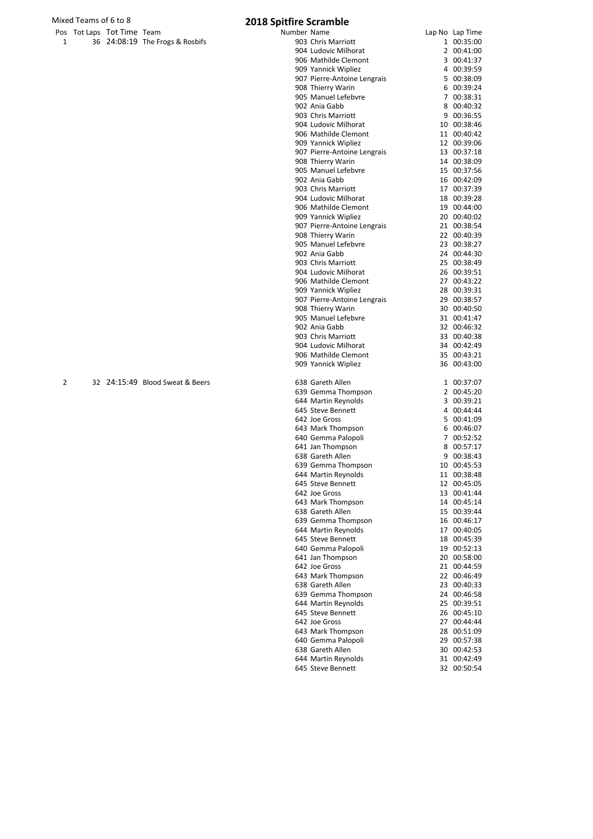### Mixed Teams of 6 to 8 **2018 Spitfire Scramble**

|   | 1ixed Teams of 6 to 8 |                            |                                 | <b>2018 Spitfire Scramble</b>                |                            |
|---|-----------------------|----------------------------|---------------------------------|----------------------------------------------|----------------------------|
|   |                       | Pos Tot Laps Tot Time Team |                                 | Number Name                                  | Lap No Lap Time            |
| 1 |                       |                            | 36 24:08:19 The Frogs & Rosbifs | 903 Chris Marriott                           | 1 00:35:00                 |
|   |                       |                            |                                 | 904 Ludovic Milhorat                         | 2 00:41:00                 |
|   |                       |                            |                                 | 906 Mathilde Clemont                         | 3 00:41:37                 |
|   |                       |                            |                                 | 909 Yannick Wipliez                          | 4 00:39:59                 |
|   |                       |                            |                                 | 907 Pierre-Antoine Lengrais                  | 5 00:38:09                 |
|   |                       |                            |                                 | 908 Thierry Warin<br>905 Manuel Lefebvre     | 6 00:39:24<br>7 00:38:31   |
|   |                       |                            |                                 | 902 Ania Gabb                                | 8 00:40:32                 |
|   |                       |                            |                                 | 903 Chris Marriott                           | 9 00:36:55                 |
|   |                       |                            |                                 | 904 Ludovic Milhorat                         | 10 00:38:46                |
|   |                       |                            |                                 | 906 Mathilde Clemont                         | 11 00:40:42                |
|   |                       |                            |                                 | 909 Yannick Wipliez                          | 12 00:39:06                |
|   |                       |                            |                                 | 907 Pierre-Antoine Lengrais                  | 13 00:37:18                |
|   |                       |                            |                                 | 908 Thierry Warin                            | 14 00:38:09                |
|   |                       |                            |                                 | 905 Manuel Lefebvre                          | 15 00:37:56                |
|   |                       |                            |                                 | 902 Ania Gabb                                | 16 00:42:09                |
|   |                       |                            |                                 | 903 Chris Marriott                           | 17 00:37:39                |
|   |                       |                            |                                 | 904 Ludovic Milhorat<br>906 Mathilde Clemont | 18 00:39:28                |
|   |                       |                            |                                 | 909 Yannick Wipliez                          | 19 00:44:00<br>20 00:40:02 |
|   |                       |                            |                                 | 907 Pierre-Antoine Lengrais                  | 21 00:38:54                |
|   |                       |                            |                                 | 908 Thierry Warin                            | 22 00:40:39                |
|   |                       |                            |                                 | 905 Manuel Lefebvre                          | 23 00:38:27                |
|   |                       |                            |                                 | 902 Ania Gabb                                | 24 00:44:30                |
|   |                       |                            |                                 | 903 Chris Marriott                           | 25 00:38:49                |
|   |                       |                            |                                 | 904 Ludovic Milhorat                         | 26 00:39:51                |
|   |                       |                            |                                 | 906 Mathilde Clemont                         | 27 00:43:22                |
|   |                       |                            |                                 | 909 Yannick Wipliez                          | 28 00:39:31                |
|   |                       |                            |                                 | 907 Pierre-Antoine Lengrais                  | 29 00:38:57                |
|   |                       |                            |                                 | 908 Thierry Warin                            | 30 00:40:50                |
|   |                       |                            |                                 | 905 Manuel Lefebvre                          | 31 00:41:47                |
|   |                       |                            |                                 | 902 Ania Gabb<br>903 Chris Marriott          | 32 00:46:32<br>33 00:40:38 |
|   |                       |                            |                                 | 904 Ludovic Milhorat                         | 34 00:42:49                |
|   |                       |                            |                                 | 906 Mathilde Clemont                         | 35 00:43:21                |
|   |                       |                            |                                 | 909 Yannick Wipliez                          | 36 00:43:00                |
| 2 |                       |                            | 32 24:15:49 Blood Sweat & Beers | 638 Gareth Allen                             | 1 00:37:07                 |
|   |                       |                            |                                 | 639 Gemma Thompson                           | 2 00:45:20                 |
|   |                       |                            |                                 | 644 Martin Reynolds                          | 3 00:39:21                 |
|   |                       |                            |                                 | 645 Steve Bennett                            | 4 00:44:44                 |
|   |                       |                            |                                 | 642 Joe Gross                                | 5 00:41:09                 |
|   |                       |                            |                                 | 643 Mark Thompson                            | 6 00:46:07                 |
|   |                       |                            |                                 | 640 Gemma Palopoli                           | 7 00:52:52                 |
|   |                       |                            |                                 | 641 Jan Thompson<br>638 Gareth Allen         | 8 00:57:17<br>9 00:38:43   |
|   |                       |                            |                                 | 639 Gemma Thompson                           | 10 00:45:53                |
|   |                       |                            |                                 | 644 Martin Reynolds                          | 11 00:38:48                |
|   |                       |                            |                                 | 645 Steve Bennett                            | 12 00:45:05                |
|   |                       |                            |                                 | 642 Joe Gross                                | 13 00:41:44                |
|   |                       |                            |                                 | 643 Mark Thompson                            | 14 00:45:14                |
|   |                       |                            |                                 | 638 Gareth Allen                             | 15 00:39:44                |
|   |                       |                            |                                 | 639 Gemma Thompson                           | 16 00:46:17                |
|   |                       |                            |                                 | 644 Martin Reynolds                          | 17 00:40:05                |
|   |                       |                            |                                 | 645 Steve Bennett                            | 18 00:45:39                |
|   |                       |                            |                                 | 640 Gemma Palopoli                           | 19 00:52:13                |
|   |                       |                            |                                 | 641 Jan Thompson                             | 20 00:58:00                |
|   |                       |                            |                                 | 642 Joe Gross<br>643 Mark Thompson           | 21 00:44:59<br>22 00:46:49 |
|   |                       |                            |                                 | 638 Gareth Allen                             | 23 00:40:33                |
|   |                       |                            |                                 | 639 Gemma Thompson                           | 24 00:46:58                |
|   |                       |                            |                                 | 644 Martin Reynolds                          | 25 00:39:51                |
|   |                       |                            |                                 | 645 Steve Bennett                            | 26 00:45:10                |
|   |                       |                            |                                 | 642 Joe Gross                                | 27 00:44:44                |
|   |                       |                            |                                 | 643 Mark Thompson                            | 28 00:51:09                |
|   |                       |                            |                                 | 640 Gemma Palopoli                           | 29 00:57:38                |
|   |                       |                            |                                 | 638 Gareth Allen                             | 30 00:42:53                |
|   |                       |                            |                                 | 644 Martin Reynolds                          | 31 00:42:49                |
|   |                       |                            |                                 | 645 Steve Bennett                            | 32 00:50:54                |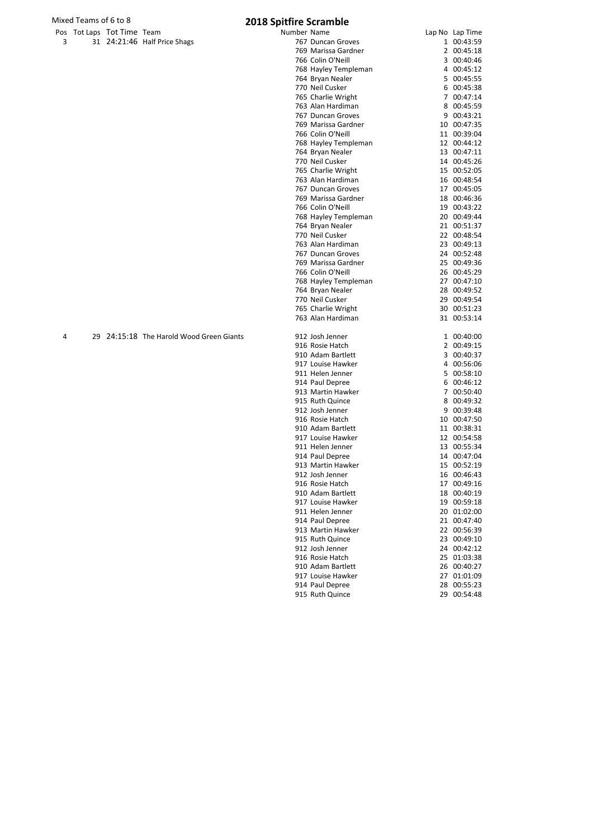# Mixed Teams of 6 to 8 **2018 Sp**

|   | Pos Tot Laps Tot Time Team |                              |
|---|----------------------------|------------------------------|
| 3 |                            | 31 24:21:46 Half Price Shags |

|   | ed Teams of 6 to 8 |                          |                                          | 2018 Spitfire Scramble                 |                            |
|---|--------------------|--------------------------|------------------------------------------|----------------------------------------|----------------------------|
|   |                    | s Tot Laps Tot Time Team |                                          | Number Name                            | Lap No Lap Time            |
| 3 |                    |                          | 31 24:21:46 Half Price Shags             | 767 Duncan Groves                      | 1 00:43:59                 |
|   |                    |                          |                                          | 769 Marissa Gardner                    | 2 00:45:18                 |
|   |                    |                          |                                          | 766 Colin O'Neill                      | 3 00:40:46                 |
|   |                    |                          |                                          | 768 Hayley Templeman                   | 4 00:45:12                 |
|   |                    |                          |                                          | 764 Bryan Nealer                       | 5 00:45:55                 |
|   |                    |                          |                                          | 770 Neil Cusker                        | 6 00:45:38                 |
|   |                    |                          |                                          | 765 Charlie Wright                     | 7 00:47:14                 |
|   |                    |                          |                                          | 763 Alan Hardiman                      | 8 00:45:59                 |
|   |                    |                          |                                          | 767 Duncan Groves                      | 9 00:43:21                 |
|   |                    |                          |                                          | 769 Marissa Gardner                    | 10 00:47:35                |
|   |                    |                          |                                          | 766 Colin O'Neill                      | 11 00:39:04                |
|   |                    |                          |                                          | 768 Hayley Templeman                   | 12 00:44:12                |
|   |                    |                          |                                          | 764 Bryan Nealer                       | 13 00:47:11                |
|   |                    |                          |                                          | 770 Neil Cusker                        | 14 00:45:26                |
|   |                    |                          |                                          | 765 Charlie Wright                     | 15 00:52:05                |
|   |                    |                          |                                          | 763 Alan Hardiman                      | 16 00:48:54                |
|   |                    |                          |                                          | 767 Duncan Groves                      | 17 00:45:05                |
|   |                    |                          |                                          | 769 Marissa Gardner                    | 18 00:46:36                |
|   |                    |                          |                                          | 766 Colin O'Neill                      | 19 00:43:22                |
|   |                    |                          |                                          | 768 Hayley Templeman                   | 20 00:49:44                |
|   |                    |                          |                                          | 764 Bryan Nealer                       | 21 00:51:37                |
|   |                    |                          |                                          | 770 Neil Cusker<br>763 Alan Hardiman   | 22 00:48:54                |
|   |                    |                          |                                          | 767 Duncan Groves                      | 23 00:49:13<br>24 00:52:48 |
|   |                    |                          |                                          | 769 Marissa Gardner                    | 25 00:49:36                |
|   |                    |                          |                                          | 766 Colin O'Neill                      | 26 00:45:29                |
|   |                    |                          |                                          | 768 Hayley Templeman                   | 27 00:47:10                |
|   |                    |                          |                                          | 764 Bryan Nealer                       | 28 00:49:52                |
|   |                    |                          |                                          | 770 Neil Cusker                        | 29 00:49:54                |
|   |                    |                          |                                          | 765 Charlie Wright                     | 30 00:51:23                |
|   |                    |                          |                                          | 763 Alan Hardiman                      | 31 00:53:14                |
| 4 |                    |                          | 29 24:15:18 The Harold Wood Green Giants | 912 Josh Jenner                        | 1 00:40:00                 |
|   |                    |                          |                                          | 916 Rosie Hatch                        | 2 00:49:15                 |
|   |                    |                          |                                          | 910 Adam Bartlett                      | 3 00:40:37                 |
|   |                    |                          |                                          | 917 Louise Hawker                      | 4 00:56:06                 |
|   |                    |                          |                                          | 911 Helen Jenner                       | 5 00:58:10                 |
|   |                    |                          |                                          | 914 Paul Depree                        | 6 00:46:12                 |
|   |                    |                          |                                          | 913 Martin Hawker                      | 7 00:50:40                 |
|   |                    |                          |                                          | 915 Ruth Quince                        | 8 00:49:32                 |
|   |                    |                          |                                          | 912 Josh Jenner                        | 9 00:39:48                 |
|   |                    |                          |                                          | 916 Rosie Hatch                        | 10 00:47:50                |
|   |                    |                          |                                          | 910 Adam Bartlett                      | 11 00:38:31                |
|   |                    |                          |                                          | 917 Louise Hawker                      | 12 00:54:58                |
|   |                    |                          |                                          | 911 Helen Jenner                       | 13 00:55:34                |
|   |                    |                          |                                          | 914 Paul Depree                        | 14 00:47:04                |
|   |                    |                          |                                          | 913 Martin Hawker                      | 15 00:52:19                |
|   |                    |                          |                                          | 912 Josh Jenner                        | 16 00:46:43                |
|   |                    |                          |                                          | 916 Rosie Hatch                        | 17 00:49:16                |
|   |                    |                          |                                          | 910 Adam Bartlett                      | 18 00:40:19                |
|   |                    |                          |                                          | 917 Louise Hawker                      | 19 00:59:18                |
|   |                    |                          |                                          | 911 Helen Jenner                       | 20 01:02:00                |
|   |                    |                          |                                          | 914 Paul Depree                        | 21 00:47:40                |
|   |                    |                          |                                          | 913 Martin Hawker                      | 22 00:56:39                |
|   |                    |                          |                                          | 915 Ruth Quince                        | 23 00:49:10                |
|   |                    |                          |                                          | 912 Josh Jenner                        | 24 00:42:12                |
|   |                    |                          |                                          | 916 Rosie Hatch                        | 25 01:03:38                |
|   |                    |                          |                                          | 910 Adam Bartlett<br>917 Louise Hawker | 26 00:40:27                |
|   |                    |                          |                                          |                                        | 27 01:01:09                |

917 Louise Hawker 27 01:01:09<br>914 Paul Depree 28 00:55:23<br>915 Ruth Quince 29 00:54:48

914 Paul Depree 915 Ruth Quince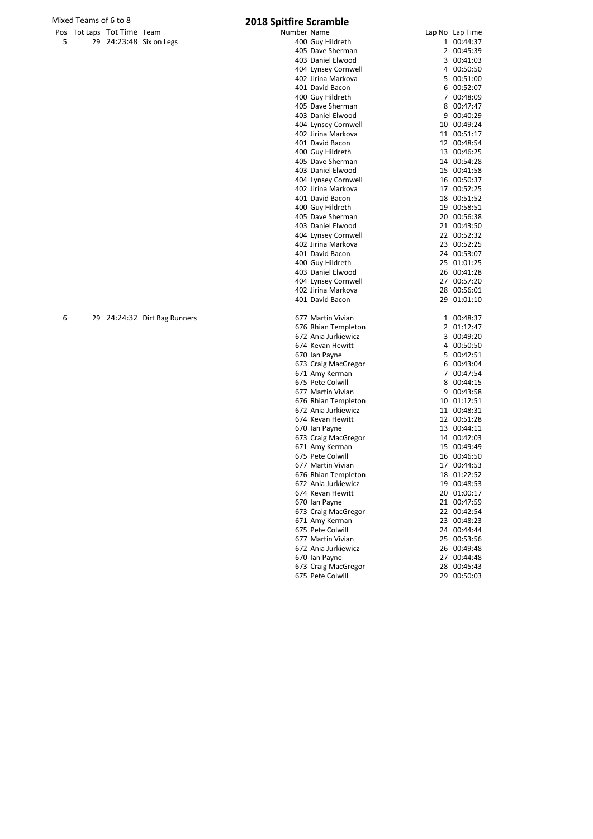# Mixed Teams of 6 to 8<br>Pos Tot Laps Tot Time Team **2018 Spit**

| . |  |                         |
|---|--|-------------------------|
|   |  | 29 24:23:48 Six on Legs |

|   | Mixed Teams of 6 to 8 |                            |                              | <b>2018 Spitfire Scramble</b> |                 |
|---|-----------------------|----------------------------|------------------------------|-------------------------------|-----------------|
|   |                       | Pos Tot Laps Tot Time Team |                              | Number Name                   | Lap No Lap Time |
| 5 |                       |                            | 29 24:23:48 Six on Legs      | 400 Guy Hildreth              | 1 00:44:37      |
|   |                       |                            |                              | 405 Dave Sherman              | 2 00:45:39      |
|   |                       |                            |                              | 403 Daniel Elwood             | 3 00:41:03      |
|   |                       |                            |                              | 404 Lynsey Cornwell           | 4 00:50:50      |
|   |                       |                            |                              | 402 Jirina Markova            | 5 00:51:00      |
|   |                       |                            |                              | 401 David Bacon               | 6 00:52:07      |
|   |                       |                            |                              | 400 Guy Hildreth              | 7 00:48:09      |
|   |                       |                            |                              | 405 Dave Sherman              | 8 00:47:47      |
|   |                       |                            |                              | 403 Daniel Elwood             | 9 00:40:29      |
|   |                       |                            |                              | 404 Lynsey Cornwell           | 10 00:49:24     |
|   |                       |                            |                              | 402 Jirina Markova            | 11 00:51:17     |
|   |                       |                            |                              | 401 David Bacon               | 12 00:48:54     |
|   |                       |                            |                              | 400 Guy Hildreth              | 13 00:46:25     |
|   |                       |                            |                              | 405 Dave Sherman              | 14 00:54:28     |
|   |                       |                            |                              | 403 Daniel Elwood             | 15 00:41:58     |
|   |                       |                            |                              | 404 Lynsey Cornwell           | 16 00:50:37     |
|   |                       |                            |                              | 402 Jirina Markova            | 17 00:52:25     |
|   |                       |                            |                              | 401 David Bacon               | 18 00:51:52     |
|   |                       |                            |                              | 400 Guy Hildreth              | 19 00:58:51     |
|   |                       |                            |                              | 405 Dave Sherman              | 20 00:56:38     |
|   |                       |                            |                              | 403 Daniel Elwood             | 21 00:43:50     |
|   |                       |                            |                              | 404 Lynsey Cornwell           | 22 00:52:32     |
|   |                       |                            |                              | 402 Jirina Markova            | 23 00:52:25     |
|   |                       |                            |                              | 401 David Bacon               | 24 00:53:07     |
|   |                       |                            |                              | 400 Guy Hildreth              | 25 01:01:25     |
|   |                       |                            |                              | 403 Daniel Elwood             | 26 00:41:28     |
|   |                       |                            |                              | 404 Lynsey Cornwell           | 27 00:57:20     |
|   |                       |                            |                              | 402 Jirina Markova            | 28 00:56:01     |
|   |                       |                            |                              | 401 David Bacon               | 29 01:01:10     |
| 6 |                       |                            | 29 24:24:32 Dirt Bag Runners | 677 Martin Vivian             | 1 00:48:37      |
|   |                       |                            |                              | 676 Rhian Templeton           | 2 01:12:47      |
|   |                       |                            |                              | 672 Ania Jurkiewicz           | 3 00:49:20      |
|   |                       |                            |                              | 674 Kevan Hewitt              | 4 00:50:50      |
|   |                       |                            |                              | 670 Ian Payne                 | 5 00:42:51      |
|   |                       |                            |                              | 673 Craig MacGregor           | 6 00:43:04      |
|   |                       |                            |                              | 671 Amy Kerman                | 7 00:47:54      |
|   |                       |                            |                              | 675 Pete Colwill              | 8 00:44:15      |
|   |                       |                            |                              | 677 Martin Vivian             | 9 00:43:58      |
|   |                       |                            |                              | 676 Rhian Templeton           | 10 01:12:51     |
|   |                       |                            |                              | 672 Ania Jurkiewicz           | 11 00:48:31     |
|   |                       |                            |                              | 674 Kevan Hewitt              | 12 00:51:28     |
|   |                       |                            |                              | 670 Ian Payne                 | 13 00:44:11     |
|   |                       |                            |                              | 673 Craig MacGregor           | 14 00:42:03     |
|   |                       |                            |                              | 671 Amy Kerman                | 15 00:49:49     |
|   |                       |                            |                              | 675 Pete Colwill              | 16 00:46:50     |
|   |                       |                            |                              | 677 Martin Vivian             | 17 00:44:53     |
|   |                       |                            |                              | 676 Rhian Templeton           | 18 01:22:52     |
|   |                       |                            |                              | 672 Ania Jurkiewicz           | 19 00:48:53     |
|   |                       |                            |                              | 674 Kevan Hewitt              | 20 01:00:17     |
|   |                       |                            |                              | 670 Ian Payne                 | 21 00:47:59     |
|   |                       |                            |                              | 673 Craig MacGregor           | 22 00:42:54     |
|   |                       |                            |                              | 671 Amy Kerman                | 23 00:48:23     |
|   |                       |                            |                              | 675 Pete Colwill              | 24 00:44:44     |
|   |                       |                            |                              | 677 Martin Vivian             | 25 00:53:56     |

 Martin Vivian 25 00:53:56 Ania Jurkiewicz 26 00:49:48 670 Ian Payne 27 00:44:48<br>673 Craig MacGregor 28 00:45:43 Craig MacGregor 28 00:45:43

675 Pete Colwill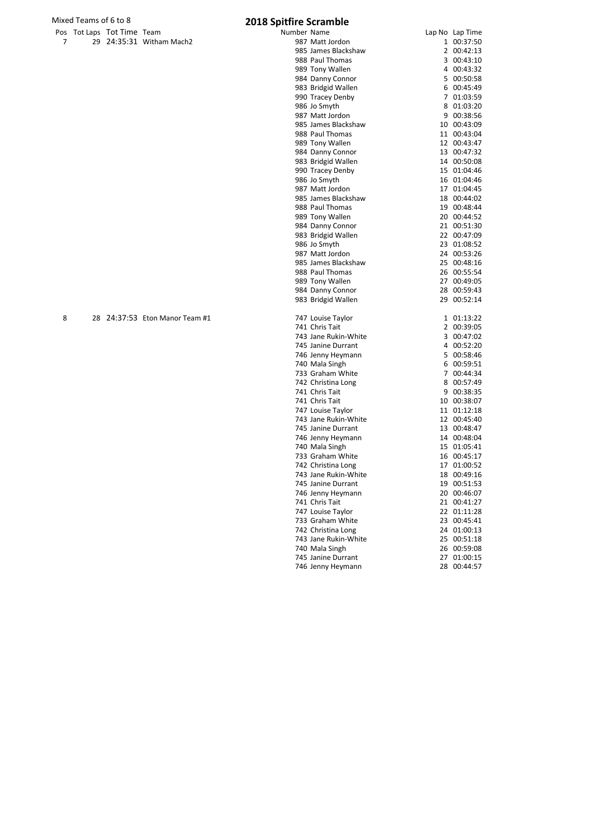|  | Pos Tot Laps Tot Time Team |                          |
|--|----------------------------|--------------------------|
|  |                            | 29 24:35:31 Witham Mach2 |

|   | s Tot Laps Tot Time Team |                             | Number Name |                      | Lap No Lap Time |
|---|--------------------------|-----------------------------|-------------|----------------------|-----------------|
| 7 |                          | 29 24:35:31 Witham Mach2    |             | 987 Matt Jordon      | 1 00:37:50      |
|   |                          |                             |             | 985 James Blackshaw  | 2 00:42:13      |
|   |                          |                             |             | 988 Paul Thomas      | 3 00:43:10      |
|   |                          |                             |             | 989 Tony Wallen      | 4 00:43:32      |
|   |                          |                             |             | 984 Danny Connor     | 5 00:50:58      |
|   |                          |                             |             | 983 Bridgid Wallen   | 6 00:45:49      |
|   |                          |                             |             | 990 Tracey Denby     | 7 01:03:59      |
|   |                          |                             |             | 986 Jo Smyth         | 8 01:03:20      |
|   |                          |                             |             | 987 Matt Jordon      | 9 00:38:56      |
|   |                          |                             |             | 985 James Blackshaw  | 10 00:43:09     |
|   |                          |                             |             | 988 Paul Thomas      | 11 00:43:04     |
|   |                          |                             |             | 989 Tony Wallen      | 12 00:43:47     |
|   |                          |                             |             | 984 Danny Connor     | 13 00:47:32     |
|   |                          |                             |             | 983 Bridgid Wallen   | 14 00:50:08     |
|   |                          |                             |             | 990 Tracey Denby     | 15 01:04:46     |
|   |                          |                             |             | 986 Jo Smyth         | 16 01:04:46     |
|   |                          |                             |             | 987 Matt Jordon      | 17 01:04:45     |
|   |                          |                             |             | 985 James Blackshaw  | 18 00:44:02     |
|   |                          |                             |             | 988 Paul Thomas      | 19 00:48:44     |
|   |                          |                             |             | 989 Tony Wallen      | 20 00:44:52     |
|   |                          |                             |             | 984 Danny Connor     | 21 00:51:30     |
|   |                          |                             |             | 983 Bridgid Wallen   | 22 00:47:09     |
|   |                          |                             |             | 986 Jo Smyth         | 23 01:08:52     |
|   |                          |                             |             | 987 Matt Jordon      | 24 00:53:26     |
|   |                          |                             |             | 985 James Blackshaw  | 25 00:48:16     |
|   |                          |                             |             | 988 Paul Thomas      | 26 00:55:54     |
|   |                          |                             |             | 989 Tony Wallen      | 27 00:49:05     |
|   |                          |                             |             | 984 Danny Connor     | 28 00:59:43     |
|   |                          |                             |             | 983 Bridgid Wallen   | 29 00:52:14     |
| 8 | 28                       | 24:37:53 Eton Manor Team #1 |             | 747 Louise Taylor    | 1 01:13:22      |
|   |                          |                             |             | 741 Chris Tait       | 2 00:39:05      |
|   |                          |                             |             | 743 Jane Rukin-White | 3 00:47:02      |
|   |                          |                             |             | 745 Janine Durrant   | 4 00:52:20      |
|   |                          |                             |             | 746 Jenny Heymann    | 5 00:58:46      |
|   |                          |                             |             | 740 Mala Singh       | 6 00:59:51      |
|   |                          |                             |             | 733 Graham White     | 7 00:44:34      |
|   |                          |                             |             | 742 Christina Long   | 8 00:57:49      |
|   |                          |                             |             | 741 Chris Tait       | 9 00:38:35      |
|   |                          |                             |             | 741 Chris Tait       | 10 00:38:07     |
|   |                          |                             |             | 747 Louise Taylor    | 11 01:12:18     |
|   |                          |                             |             | 743 Jane Rukin-White | 12 00:45:40     |
|   |                          |                             |             | 745 Janine Durrant   | 13 00:48:47     |
|   |                          |                             |             | 746 Jenny Heymann    | 14 00:48:04     |
|   |                          |                             |             | 740 Mala Singh       | 15 01:05:41     |
|   |                          |                             |             | 733 Graham White     | 16 00:45:17     |
|   |                          |                             |             | 742 Christina Long   | 17 01:00:52     |
|   |                          |                             |             | 743 Jane Rukin-White | 18 00:49:16     |
|   |                          |                             |             | 745 Janine Durrant   | 19 00:51:53     |
|   |                          |                             |             | 746 Jenny Heymann    | 20 00:46:07     |
|   |                          |                             |             | 741 Chris Tait       | 21 00:41:27     |
|   |                          |                             |             | 747 Louise Taylor    | 22 01:11:28     |
|   |                          |                             |             | 733 Graham White     | 23 00:45:41     |
|   |                          |                             |             | 742 Christina Long   | 24 01:00:13     |
|   |                          |                             |             | 743 Jane Rukin-White | 25 00:51:18     |
|   |                          |                             |             | 740 Mala Singh       | 26 00:59:08     |
|   |                          |                             |             | 745 Janine Durrant   | 27 01:00:15     |
|   |                          |                             |             | 746 Jenny Heymann    | 28 00:44:57     |
|   |                          |                             |             |                      |                 |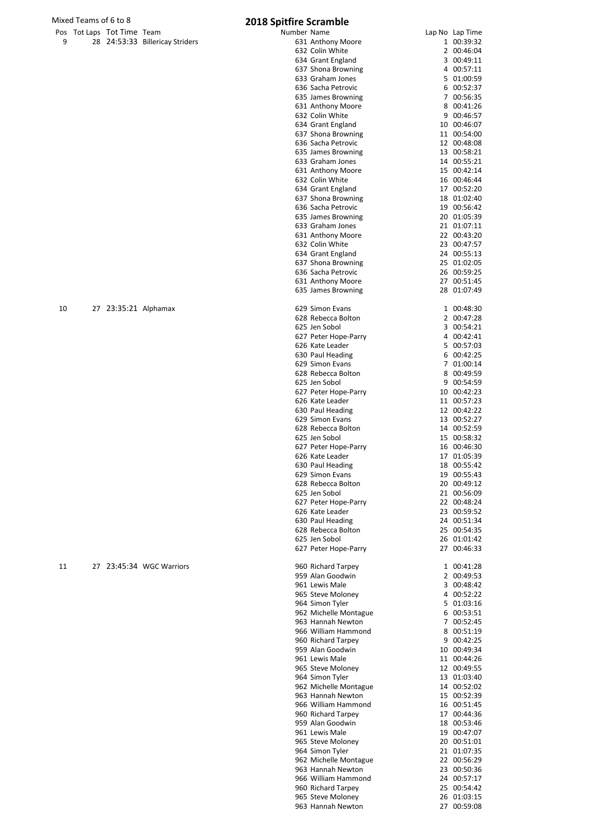|   | Mixed Teams of 6 to 8 |                            |                                 | <b>2018 Spitfire Scramble</b> |  |  |  |
|---|-----------------------|----------------------------|---------------------------------|-------------------------------|--|--|--|
|   |                       | Pos Tot Laps Tot Time Team |                                 | Number Name                   |  |  |  |
| 9 |                       |                            | 28 24:53:33 Billericay Striders | 631 Anthony Mo                |  |  |  |
|   |                       |                            |                                 | 632 Colin White               |  |  |  |
|   |                       |                            |                                 | 634 Grant Englar              |  |  |  |
|   |                       |                            |                                 |                               |  |  |  |

|    |                            |                                 | <b>EUTO OPILITIE OFIGITIME</b> |                 |
|----|----------------------------|---------------------------------|--------------------------------|-----------------|
|    | Pos Tot Laps Tot Time Team |                                 | Number Name                    | Lap No Lap Time |
| 9  |                            | 28 24:53:33 Billericay Striders | 631 Anthony Moore              | 1 00:39:32      |
|    |                            |                                 | 632 Colin White                | 2 00:46:04      |
|    |                            |                                 | 634 Grant England              | 3 00:49:11      |
|    |                            |                                 | 637 Shona Browning             | 4 00:57:11      |
|    |                            |                                 | 633 Graham Jones               | 5 01:00:59      |
|    |                            |                                 |                                |                 |
|    |                            |                                 | 636 Sacha Petrovic             | 6 00:52:37      |
|    |                            |                                 | 635 James Browning             | 7 00:56:35      |
|    |                            |                                 | 631 Anthony Moore              | 8 00:41:26      |
|    |                            |                                 | 632 Colin White                | 9 00:46:57      |
|    |                            |                                 | 634 Grant England              | 10 00:46:07     |
|    |                            |                                 |                                |                 |
|    |                            |                                 | 637 Shona Browning             | 11 00:54:00     |
|    |                            |                                 | 636 Sacha Petrovic             | 12 00:48:08     |
|    |                            |                                 | 635 James Browning             | 13 00:58:21     |
|    |                            |                                 | 633 Graham Jones               | 14 00:55:21     |
|    |                            |                                 | 631 Anthony Moore              | 15 00:42:14     |
|    |                            |                                 | 632 Colin White                | 16 00:46:44     |
|    |                            |                                 |                                |                 |
|    |                            |                                 | 634 Grant England              | 17 00:52:20     |
|    |                            |                                 | 637 Shona Browning             | 18 01:02:40     |
|    |                            |                                 | 636 Sacha Petrovic             | 19 00:56:42     |
|    |                            |                                 | 635 James Browning             | 20 01:05:39     |
|    |                            |                                 | 633 Graham Jones               |                 |
|    |                            |                                 |                                | 21 01:07:11     |
|    |                            |                                 | 631 Anthony Moore              | 22 00:43:20     |
|    |                            |                                 | 632 Colin White                | 23 00:47:57     |
|    |                            |                                 | 634 Grant England              | 24 00:55:13     |
|    |                            |                                 | 637 Shona Browning             | 25 01:02:05     |
|    |                            |                                 | 636 Sacha Petrovic             |                 |
|    |                            |                                 |                                | 26 00:59:25     |
|    |                            |                                 | 631 Anthony Moore              | 27 00:51:45     |
|    |                            |                                 | 635 James Browning             | 28 01:07:49     |
|    |                            |                                 |                                |                 |
| 10 | 27 23:35:21 Alphamax       |                                 | 629 Simon Evans                | 1 00:48:30      |
|    |                            |                                 | 628 Rebecca Bolton             | 2 00:47:28      |
|    |                            |                                 | 625 Jen Sobol                  | 3 00:54:21      |
|    |                            |                                 |                                |                 |
|    |                            |                                 | 627 Peter Hope-Parry           | 4 00:42:41      |
|    |                            |                                 | 626 Kate Leader                | 5 00:57:03      |
|    |                            |                                 | 630 Paul Heading               | 6 00:42:25      |
|    |                            |                                 | 629 Simon Evans                | 7 01:00:14      |
|    |                            |                                 | 628 Rebecca Bolton             | 8 00:49:59      |
|    |                            |                                 |                                |                 |
|    |                            |                                 | 625 Jen Sobol                  | 9 00:54:59      |
|    |                            |                                 | 627 Peter Hope-Parry           | 10 00:42:23     |
|    |                            |                                 | 626 Kate Leader                | 11 00:57:23     |
|    |                            |                                 | 630 Paul Heading               | 12 00:42:22     |
|    |                            |                                 | 629 Simon Evans                | 13 00:52:27     |
|    |                            |                                 |                                |                 |
|    |                            |                                 | 628 Rebecca Bolton             | 14 00:52:59     |
|    |                            |                                 | 625 Jen Sobol                  | 15 00:58:32     |
|    |                            |                                 | 627 Peter Hope-Parry           | 16 00:46:30     |
|    |                            |                                 | 626 Kate Leader                | 17 01:05:39     |
|    |                            |                                 | 630 Paul Heading               | 18 00:55:42     |
|    |                            |                                 |                                |                 |
|    |                            |                                 | 629 Simon Evans                | 19 00:55:43     |
|    |                            |                                 | 628 Rebecca Bolton             | 20 00:49:12     |
|    |                            |                                 | 625 Jen Sobol                  | 21 00:56:09     |
|    |                            |                                 | 627 Peter Hope-Parry           | 22 00:48:24     |
|    |                            |                                 | 626 Kate Leader                | 23 00:59:52     |
|    |                            |                                 |                                |                 |
|    |                            |                                 | 630 Paul Heading               | 24 00:51:34     |
|    |                            |                                 | 628 Rebecca Bolton             | 25 00:54:35     |
|    |                            |                                 | 625 Jen Sobol                  | 26 01:01:42     |
|    |                            |                                 | 627 Peter Hope-Parry           | 27 00:46:33     |
|    |                            |                                 |                                |                 |
| 11 |                            | 27 23:45:34 WGC Warriors        | 960 Richard Tarpey             | 1 00:41:28      |
|    |                            |                                 | 959 Alan Goodwin               | 2 00:49:53      |
|    |                            |                                 |                                |                 |
|    |                            |                                 | 961 Lewis Male                 | 3 00:48:42      |
|    |                            |                                 | 965 Steve Moloney              | 4 00:52:22      |
|    |                            |                                 | 964 Simon Tyler                | 5 01:03:16      |
|    |                            |                                 | 962 Michelle Montague          | 6 00:53:51      |
|    |                            |                                 |                                |                 |
|    |                            |                                 | 963 Hannah Newton              | 7 00:52:45      |
|    |                            |                                 | 966 William Hammond            | 8 00:51:19      |
|    |                            |                                 | 960 Richard Tarpey             | 9 00:42:25      |
|    |                            |                                 | 959 Alan Goodwin               | 10 00:49:34     |
|    |                            |                                 | 961 Lewis Male                 | 11 00:44:26     |
|    |                            |                                 |                                |                 |
|    |                            |                                 | 965 Steve Moloney              | 12 00:49:55     |
|    |                            |                                 | 964 Simon Tyler                | 13 01:03:40     |
|    |                            |                                 | 962 Michelle Montague          | 14 00:52:02     |
|    |                            |                                 | 963 Hannah Newton              | 15 00:52:39     |
|    |                            |                                 | 966 William Hammond            | 16 00:51:45     |
|    |                            |                                 |                                |                 |
|    |                            |                                 | 960 Richard Tarpey             | 17 00:44:36     |
|    |                            |                                 | 959 Alan Goodwin               | 18 00:53:46     |
|    |                            |                                 | 961 Lewis Male                 | 19 00:47:07     |
|    |                            |                                 | 965 Steve Moloney              | 20 00:51:01     |
|    |                            |                                 |                                |                 |
|    |                            |                                 | 964 Simon Tyler                | 21 01:07:35     |
|    |                            |                                 | 962 Michelle Montague          | 22 00:56:29     |
|    |                            |                                 | 963 Hannah Newton              | 23 00:50:36     |
|    |                            |                                 | 966 William Hammond            | 24 00:57:17     |
|    |                            |                                 | 960 Richard Tarpey             | 25 00:54:42     |
|    |                            |                                 |                                |                 |
|    |                            |                                 | 965 Steve Moloney              | 26 01:03:15     |
|    |                            |                                 | 963 Hannah Newton              | 27 00:59:08     |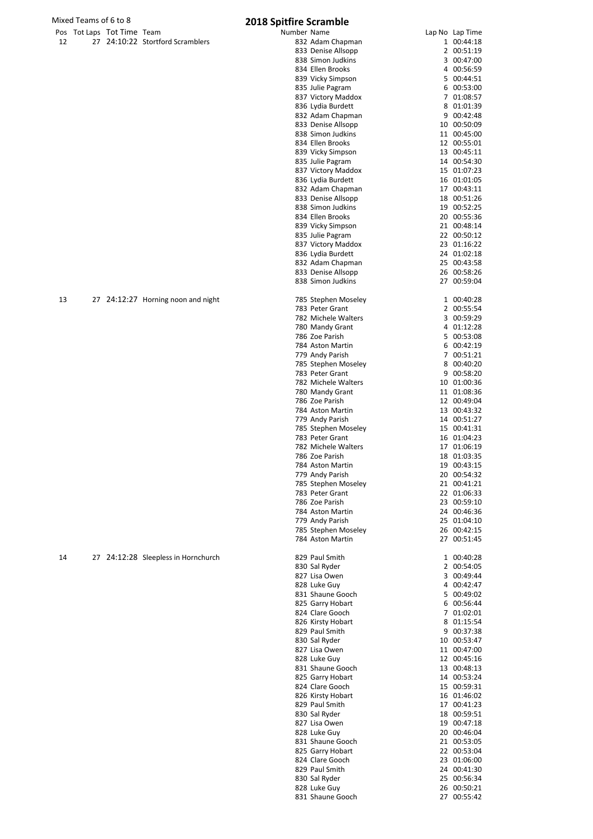|    | Mixed Teams of 6 to 8      |                                     | 2018 Spitfire Scramble                 |                            |
|----|----------------------------|-------------------------------------|----------------------------------------|----------------------------|
|    | Pos Tot Laps Tot Time Team |                                     | Number Name                            | Lap No Lap Time            |
| 12 |                            | 27 24:10:22 Stortford Scramblers    | 832 Adam Chapman                       | 1 00:44:18                 |
|    |                            |                                     | 833 Denise Allsopp                     | 2 00:51:19                 |
|    |                            |                                     | 838 Simon Judkins                      | 3 00:47:00                 |
|    |                            |                                     | 834 Ellen Brooks<br>839 Vicky Simpson  | 4 00:56:59<br>5 00:44:51   |
|    |                            |                                     | 835 Julie Pagram                       | 6 00:53:00                 |
|    |                            |                                     | 837 Victory Maddox                     | 7 01:08:57                 |
|    |                            |                                     | 836 Lydia Burdett                      | 8 01:01:39                 |
|    |                            |                                     | 832 Adam Chapman                       | 9 00:42:48                 |
|    |                            |                                     | 833 Denise Allsopp                     | 10 00:50:09                |
|    |                            |                                     | 838 Simon Judkins                      | 11 00:45:00                |
|    |                            |                                     | 834 Ellen Brooks                       | 12 00:55:01                |
|    |                            |                                     | 839 Vicky Simpson                      | 13 00:45:11                |
|    |                            |                                     | 835 Julie Pagram                       | 14 00:54:30                |
|    |                            |                                     | 837 Victory Maddox                     | 15 01:07:23                |
|    |                            |                                     | 836 Lydia Burdett                      | 16 01:01:05                |
|    |                            |                                     | 832 Adam Chapman<br>833 Denise Allsopp | 17 00:43:11<br>18 00:51:26 |
|    |                            |                                     | 838 Simon Judkins                      | 19 00:52:25                |
|    |                            |                                     | 834 Ellen Brooks                       | 20 00:55:36                |
|    |                            |                                     | 839 Vicky Simpson                      | 21 00:48:14                |
|    |                            |                                     | 835 Julie Pagram                       | 22 00:50:12                |
|    |                            |                                     | 837 Victory Maddox                     | 23 01:16:22                |
|    |                            |                                     | 836 Lydia Burdett                      | 24 01:02:18                |
|    |                            |                                     | 832 Adam Chapman                       | 25 00:43:58                |
|    |                            |                                     | 833 Denise Allsopp                     | 26 00:58:26                |
|    |                            |                                     | 838 Simon Judkins                      | 27 00:59:04                |
| 13 |                            | 27 24:12:27 Horning noon and night  | 785 Stephen Moseley                    | 1 00:40:28                 |
|    |                            |                                     | 783 Peter Grant                        | 2 00:55:54                 |
|    |                            |                                     | 782 Michele Walters                    | 3 00:59:29                 |
|    |                            |                                     | 780 Mandy Grant                        | 4 01:12:28                 |
|    |                            |                                     | 786 Zoe Parish                         | 5 00:53:08                 |
|    |                            |                                     | 784 Aston Martin                       | 6 00:42:19                 |
|    |                            |                                     | 779 Andy Parish                        | 7 00:51:21                 |
|    |                            |                                     | 785 Stephen Moseley                    | 8 00:40:20                 |
|    |                            |                                     | 783 Peter Grant                        | 9 00:58:20                 |
|    |                            |                                     | 782 Michele Walters                    | 10 01:00:36                |
|    |                            |                                     | 780 Mandy Grant<br>786 Zoe Parish      | 11 01:08:36                |
|    |                            |                                     | 784 Aston Martin                       | 12 00:49:04<br>13 00:43:32 |
|    |                            |                                     | 779 Andy Parish                        | 14 00:51:27                |
|    |                            |                                     | 785 Stephen Moseley                    | 15 00:41:31                |
|    |                            |                                     | 783 Peter Grant                        | 16 01:04:23                |
|    |                            |                                     | 782 Michele Walters                    | 17 01:06:19                |
|    |                            |                                     | 786 Zoe Parish                         | 18 01:03:35                |
|    |                            |                                     | 784 Aston Martin                       | 19 00:43:15                |
|    |                            |                                     | 779 Andy Parish                        | 20 00:54:32                |
|    |                            |                                     | 785 Stephen Moseley                    | 21 00:41:21                |
|    |                            |                                     | 783 Peter Grant<br>786 Zoe Parish      | 22 01:06:33<br>23 00:59:10 |
|    |                            |                                     | 784 Aston Martin                       | 24 00:46:36                |
|    |                            |                                     | 779 Andy Parish                        | 25 01:04:10                |
|    |                            |                                     | 785 Stephen Moseley                    | 26 00:42:15                |
|    |                            |                                     | 784 Aston Martin                       | 27 00:51:45                |
|    |                            |                                     |                                        |                            |
| 14 |                            | 27 24:12:28 Sleepless in Hornchurch | 829 Paul Smith                         | 1 00:40:28                 |
|    |                            |                                     | 830 Sal Ryder                          | 2 00:54:05                 |
|    |                            |                                     | 827 Lisa Owen<br>828 Luke Guy          | 3 00:49:44<br>4 00:42:47   |
|    |                            |                                     | 831 Shaune Gooch                       | 5 00:49:02                 |
|    |                            |                                     | 825 Garry Hobart                       | 6 00:56:44                 |
|    |                            |                                     | 824 Clare Gooch                        | 7 01:02:01                 |
|    |                            |                                     | 826 Kirsty Hobart                      | 8 01:15:54                 |
|    |                            |                                     | 829 Paul Smith                         | 9 00:37:38                 |
|    |                            |                                     | 830 Sal Ryder                          | 10 00:53:47                |
|    |                            |                                     | 827 Lisa Owen                          | 11 00:47:00                |
|    |                            |                                     | 828 Luke Guy                           | 12 00:45:16                |
|    |                            |                                     | 831 Shaune Gooch                       | 13 00:48:13                |
|    |                            |                                     | 825 Garry Hobart                       | 14 00:53:24                |
|    |                            |                                     | 824 Clare Gooch                        | 15 00:59:31                |
|    |                            |                                     | 826 Kirsty Hobart<br>829 Paul Smith    | 16 01:46:02<br>17 00:41:23 |
|    |                            |                                     | 830 Sal Ryder                          | 18 00:59:51                |
|    |                            |                                     | 827 Lisa Owen                          | 19 00:47:18                |
|    |                            |                                     | 828 Luke Guy                           | 20 00:46:04                |
|    |                            |                                     | 831 Shaune Gooch                       | 21 00:53:05                |
|    |                            |                                     | 825 Garry Hobart                       | 22 00:53:04                |
|    |                            |                                     | 824 Clare Gooch                        | 23 01:06:00                |
|    |                            |                                     | 829 Paul Smith                         | 24 00:41:30                |
|    |                            |                                     | 830 Sal Ryder                          | 25 00:56:34                |
|    |                            |                                     | 828 Luke Guy<br>831 Shaune Gooch       | 26 00:50:21<br>27 00:55:42 |
|    |                            |                                     |                                        |                            |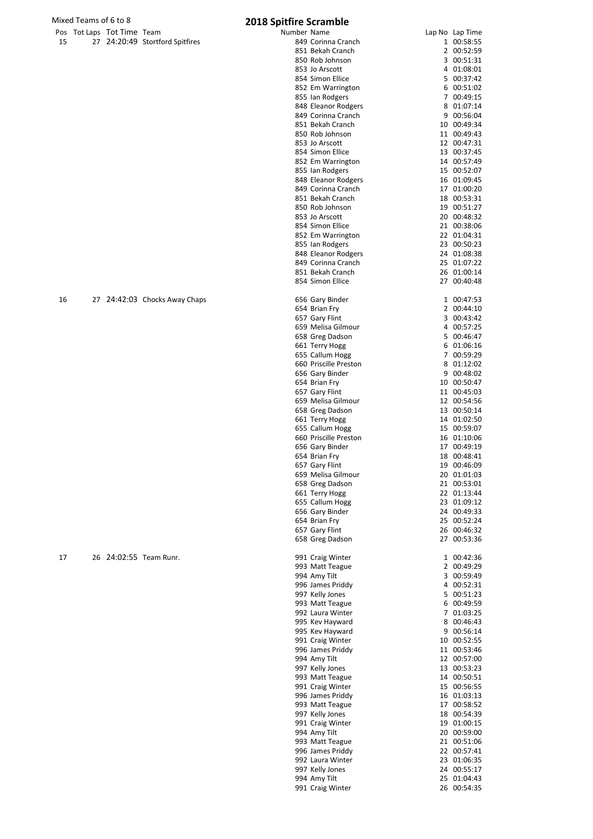|      | Pos Tot Laps Tot Time Team |                                 |  |
|------|----------------------------|---------------------------------|--|
| - 15 |                            | 27 24:20:49 Stortford Spitfires |  |

|    | os Tot Laps Tot Time Team |                                 | Number Name |                       | Lap No Lap Time |
|----|---------------------------|---------------------------------|-------------|-----------------------|-----------------|
| 15 |                           | 27 24:20:49 Stortford Spitfires |             | 849 Corinna Cranch    | 1 00:58:55      |
|    |                           |                                 |             | 851 Bekah Cranch      | 2 00:52:59      |
|    |                           |                                 |             | 850 Rob Johnson       | 3 00:51:31      |
|    |                           |                                 |             | 853 Jo Arscott        | 4 01:08:01      |
|    |                           |                                 |             | 854 Simon Ellice      | 5 00:37:42      |
|    |                           |                                 |             | 852 Em Warrington     | 6 00:51:02      |
|    |                           |                                 |             | 855 Ian Rodgers       | 7 00:49:15      |
|    |                           |                                 |             | 848 Eleanor Rodgers   | 8 01:07:14      |
|    |                           |                                 |             | 849 Corinna Cranch    | 9 00:56:04      |
|    |                           |                                 |             | 851 Bekah Cranch      | 10 00:49:34     |
|    |                           |                                 |             | 850 Rob Johnson       | 11 00:49:43     |
|    |                           |                                 |             | 853 Jo Arscott        | 12 00:47:31     |
|    |                           |                                 |             | 854 Simon Ellice      | 13 00:37:45     |
|    |                           |                                 |             | 852 Em Warrington     | 14 00:57:49     |
|    |                           |                                 |             | 855 Ian Rodgers       | 15 00:52:07     |
|    |                           |                                 |             | 848 Eleanor Rodgers   | 16 01:09:45     |
|    |                           |                                 |             | 849 Corinna Cranch    | 17 01:00:20     |
|    |                           |                                 |             | 851 Bekah Cranch      | 18 00:53:31     |
|    |                           |                                 |             | 850 Rob Johnson       | 19 00:51:27     |
|    |                           |                                 |             | 853 Jo Arscott        | 20 00:48:32     |
|    |                           |                                 |             | 854 Simon Ellice      | 21 00:38:06     |
|    |                           |                                 |             | 852 Em Warrington     | 22 01:04:31     |
|    |                           |                                 |             | 855 Ian Rodgers       | 23 00:50:23     |
|    |                           |                                 |             | 848 Eleanor Rodgers   | 24 01:08:38     |
|    |                           |                                 |             | 849 Corinna Cranch    | 25 01:07:22     |
|    |                           |                                 |             | 851 Bekah Cranch      | 26 01:00:14     |
|    |                           |                                 |             | 854 Simon Ellice      | 27 00:40:48     |
|    |                           |                                 |             |                       |                 |
| 16 |                           | 27 24:42:03 Chocks Away Chaps   |             | 656 Gary Binder       | 1 00:47:53      |
|    |                           |                                 |             | 654 Brian Fry         | 2 00:44:10      |
|    |                           |                                 |             | 657 Gary Flint        | 3 00:43:42      |
|    |                           |                                 |             |                       |                 |
|    |                           |                                 |             | 659 Melisa Gilmour    | 4 00:57:25      |
|    |                           |                                 |             | 658 Greg Dadson       | 5 00:46:47      |
|    |                           |                                 |             | 661 Terry Hogg        | 6 01:06:16      |
|    |                           |                                 |             | 655 Callum Hogg       | 7 00:59:29      |
|    |                           |                                 |             | 660 Priscille Preston | 8 01:12:02      |
|    |                           |                                 |             | 656 Gary Binder       | 9 00:48:02      |
|    |                           |                                 |             | 654 Brian Fry         | 10 00:50:47     |
|    |                           |                                 |             | 657 Gary Flint        | 11 00:45:03     |
|    |                           |                                 |             | 659 Melisa Gilmour    | 12 00:54:56     |
|    |                           |                                 |             | 658 Greg Dadson       | 13 00:50:14     |
|    |                           |                                 |             | 661 Terry Hogg        | 14 01:02:50     |
|    |                           |                                 |             | 655 Callum Hogg       | 15 00:59:07     |
|    |                           |                                 |             | 660 Priscille Preston | 16 01:10:06     |
|    |                           |                                 |             | 656 Gary Binder       | 17 00:49:19     |
|    |                           |                                 |             | 654 Brian Fry         | 18 00:48:41     |
|    |                           |                                 |             | 657 Gary Flint        | 19 00:46:09     |
|    |                           |                                 |             | 659 Melisa Gilmour    | 20 01:01:03     |
|    |                           |                                 |             | 658 Greg Dadson       | 21 00:53:01     |
|    |                           |                                 |             | 661 Terry Hogg        | 22 01:13:44     |
|    |                           |                                 |             | 655 Callum Hogg       | 23 01:09:12     |
|    |                           |                                 |             | 656 Gary Binder       | 24 00:49:33     |
|    |                           |                                 |             | 654 Brian Fry         | 25 00:52:24     |
|    |                           |                                 |             | 657 Gary Flint        | 26 00:46:32     |
|    |                           |                                 |             | 658 Greg Dadson       | 27 00:53:36     |
|    |                           |                                 |             |                       |                 |
| 17 |                           | 26 24:02:55 Team Runr.          |             | 991 Craig Winter      | 1 00:42:36      |
|    |                           |                                 |             | 993 Matt Teague       | 2 00:49:29      |
|    |                           |                                 |             | 994 Amy Tilt          | 3 00:59:49      |
|    |                           |                                 |             | 996 James Priddy      | 4 00:52:31      |
|    |                           |                                 |             | 997 Kelly Jones       | 5 00:51:23      |
|    |                           |                                 |             | 993 Matt Teague       | 6 00:49:59      |
|    |                           |                                 |             | 992 Laura Winter      | 7 01:03:25      |
|    |                           |                                 |             | 995 Kev Hayward       | 8 00:46:43      |
|    |                           |                                 |             | 995 Kev Hayward       | 9 00:56:14      |
|    |                           |                                 |             | 991 Craig Winter      | 10 00:52:55     |
|    |                           |                                 |             | 996 James Priddy      | 11 00:53:46     |
|    |                           |                                 |             |                       |                 |
|    |                           |                                 |             | 994 Amy Tilt          | 12 00:57:00     |
|    |                           |                                 |             | 997 Kelly Jones       | 13 00:53:23     |
|    |                           |                                 |             | 993 Matt Teague       | 14 00:50:51     |
|    |                           |                                 |             | 991 Craig Winter      | 15 00:56:55     |
|    |                           |                                 |             | 996 James Priddy      | 16 01:03:13     |
|    |                           |                                 |             | 993 Matt Teague       | 17 00:58:52     |
|    |                           |                                 |             | 997 Kelly Jones       | 18 00:54:39     |
|    |                           |                                 |             | 991 Craig Winter      | 19 01:00:15     |
|    |                           |                                 |             | 994 Amy Tilt          | 20 00:59:00     |
|    |                           |                                 |             | 993 Matt Teague       | 21 00:51:06     |
|    |                           |                                 |             | 996 James Priddy      | 22 00:57:41     |
|    |                           |                                 |             | 992 Laura Winter      | 23 01:06:35     |
|    |                           |                                 |             | 997 Kelly Jones       | 24 00:55:17     |
|    |                           |                                 |             | 994 Amy Tilt          | 25 01:04:43     |
|    |                           |                                 |             | 991 Craig Winter      | 26 00:54:35     |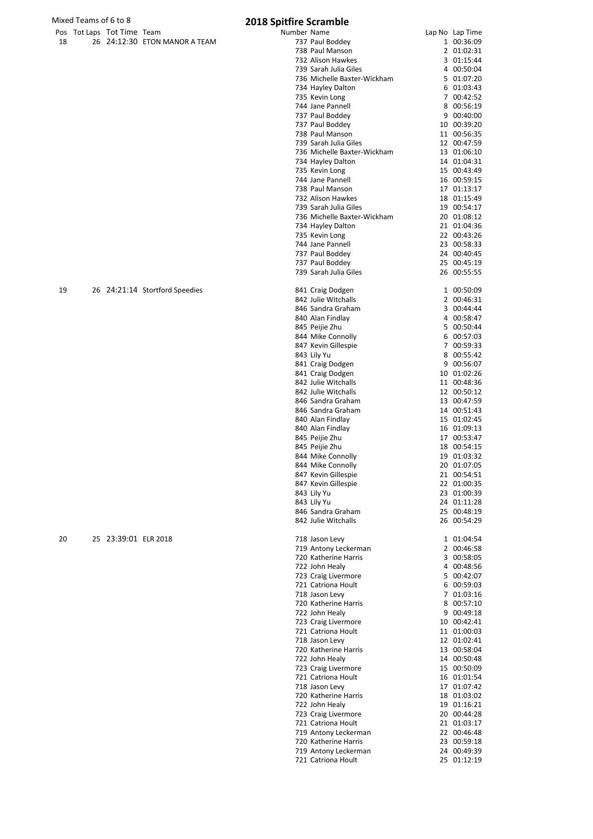|     | Pos Tot Laps Tot Time Team |                               | Number Name                                                                                                                                                                                                                                                                                                                                                                                                                                                                                | Lap No Lap Time |
|-----|----------------------------|-------------------------------|--------------------------------------------------------------------------------------------------------------------------------------------------------------------------------------------------------------------------------------------------------------------------------------------------------------------------------------------------------------------------------------------------------------------------------------------------------------------------------------------|-----------------|
| -18 |                            | 26 24:12:30 ETON MANOR A TEAM | 737 Paul Boddey                                                                                                                                                                                                                                                                                                                                                                                                                                                                            | 00:36:09        |
|     |                            |                               | $\blacksquare$ $\blacksquare$ $\blacksquare$ $\blacksquare$ $\blacksquare$ $\blacksquare$ $\blacksquare$ $\blacksquare$ $\blacksquare$ $\blacksquare$ $\blacksquare$ $\blacksquare$ $\blacksquare$ $\blacksquare$ $\blacksquare$ $\blacksquare$ $\blacksquare$ $\blacksquare$ $\blacksquare$ $\blacksquare$ $\blacksquare$ $\blacksquare$ $\blacksquare$ $\blacksquare$ $\blacksquare$ $\blacksquare$ $\blacksquare$ $\blacksquare$ $\blacksquare$ $\blacksquare$ $\blacksquare$ $\blacks$ | 0.01020         |

| 18 | 26 24:12:30 ETON MANOR A TEAM  | 737 Paul Boddey                            | 1 00:36:09                 |
|----|--------------------------------|--------------------------------------------|----------------------------|
|    |                                | 738 Paul Manson                            | 2 01:02:31                 |
|    |                                | 732 Alison Hawkes<br>739 Sarah Julia Giles | 3 01:15:44<br>4 00:50:04   |
|    |                                | 736 Michelle Baxter-Wickham                | 5 01:07:20                 |
|    |                                | 734 Hayley Dalton                          | 6 01:03:43                 |
|    |                                | 735 Kevin Long                             | 7 00:42:52                 |
|    |                                | 744 Jane Pannell                           | 8 00:56:19                 |
|    |                                | 737 Paul Boddey                            | 9 00:40:00                 |
|    |                                | 737 Paul Boddey                            | 10 00:39:20                |
|    |                                | 738 Paul Manson                            | 11 00:56:35                |
|    |                                | 739 Sarah Julia Giles                      | 12 00:47:59                |
|    |                                | 736 Michelle Baxter-Wickham                | 13 01:06:10                |
|    |                                | 734 Hayley Dalton                          | 14 01:04:31                |
|    |                                | 735 Kevin Long                             | 15 00:43:49                |
|    |                                | 744 Jane Pannell                           | 16 00:59:15                |
|    |                                | 738 Paul Manson                            | 17 01:13:17                |
|    |                                | 732 Alison Hawkes                          | 18 01:15:49                |
|    |                                | 739 Sarah Julia Giles                      | 19 00:54:17                |
|    |                                | 736 Michelle Baxter-Wickham                | 20 01:08:12                |
|    |                                | 734 Hayley Dalton<br>735 Kevin Long        | 21 01:04:36<br>22 00:43:26 |
|    |                                | 744 Jane Pannell                           | 23 00:58:33                |
|    |                                | 737 Paul Boddey                            | 24 00:40:45                |
|    |                                | 737 Paul Boddey                            | 25 00:45:19                |
|    |                                | 739 Sarah Julia Giles                      | 26 00:55:55                |
|    |                                |                                            |                            |
| 19 | 26 24:21:14 Stortford Speedies | 841 Craig Dodgen                           | 1 00:50:09                 |
|    |                                | 842 Julie Witchalls                        | 2 00:46:31                 |
|    |                                | 846 Sandra Graham                          | 3 00:44:44                 |
|    |                                | 840 Alan Findlay                           | 4 00:58:47                 |
|    |                                | 845 Peijie Zhu                             | 5 00:50:44                 |
|    |                                | 844 Mike Connolly                          | 6 00:57:03                 |
|    |                                | 847 Kevin Gillespie                        | 7 00:59:33                 |
|    |                                | 843 Lily Yu                                | 8 00:55:42                 |
|    |                                | 841 Craig Dodgen                           | 9 00:56:07                 |
|    |                                | 841 Craig Dodgen                           | 10 01:02:26                |
|    |                                | 842 Julie Witchalls                        | 11 00:48:36                |
|    |                                | 842 Julie Witchalls                        | 12 00:50:12                |
|    |                                | 846 Sandra Graham                          | 13 00:47:59                |
|    |                                | 846 Sandra Graham                          | 14 00:51:43                |
|    |                                | 840 Alan Findlay<br>840 Alan Findlay       | 15 01:02:45                |
|    |                                | 845 Peijie Zhu                             | 16 01:09:13<br>17 00:53:47 |
|    |                                | 845 Peijie Zhu                             | 18 00:54:15                |
|    |                                | 844 Mike Connolly                          | 19 01:03:32                |
|    |                                | 844 Mike Connolly                          | 20 01:07:05                |
|    |                                | 847 Kevin Gillespie                        | 21 00:54:51                |
|    |                                | 847 Kevin Gillespie                        | 22 01:00:35                |
|    |                                | 843 Lily Yu                                | 23 01:00:39                |
|    |                                | 843 Lily Yu                                | 24 01:11:28                |
|    |                                | 846 Sandra Graham                          | 25 00:48:19                |
|    |                                | 842 Julie Witchalls                        | 26 00:54:29                |
|    |                                |                                            |                            |
| 20 | 25 23:39:01 ELR 2018           | 718 Jason Levy                             | 1 01:04:54                 |
|    |                                | 719 Antony Leckerman                       | 2 00:46:58                 |
|    |                                | 720 Katherine Harris                       | 3 00:58:05                 |
|    |                                | 722 John Healy                             | 4 00:48:56                 |
|    |                                | 723 Craig Livermore<br>721 Catriona Hoult  | 5 00:42:07<br>6 00:59:03   |
|    |                                | 718 Jason Levy                             | 7 01:03:16                 |
|    |                                | 720 Katherine Harris                       | 8 00:57:10                 |
|    |                                | 722 John Healy                             | 9 00:49:18                 |
|    |                                | 723 Craig Livermore                        | 10 00:42:41                |
|    |                                | 721 Catriona Hoult                         | 11 01:00:03                |
|    |                                | 718 Jason Levy                             | 12 01:02:41                |
|    |                                | 720 Katherine Harris                       | 13 00:58:04                |
|    |                                | 722 John Healy                             | 14 00:50:48                |
|    |                                | 723 Craig Livermore                        | 15 00:50:09                |
|    |                                | 721 Catriona Hoult                         | 16 01:01:54                |
|    |                                | 718 Jason Levy                             | 17 01:07:42                |
|    |                                | 720 Katherine Harris                       | 18 01:03:02                |
|    |                                | 722 John Healy                             | 19 01:16:21                |
|    |                                | 723 Craig Livermore                        | 20 00:44:28                |
|    |                                | 721 Catriona Hoult                         | 21 01:03:17                |
|    |                                | 719 Antony Leckerman                       | 22 00:46:48                |
|    |                                | 720 Katherine Harris                       | 23 00:59:18                |
|    |                                | 719 Antony Leckerman                       | 24 00:49:39                |
|    |                                | 721 Catriona Hoult                         | 25 01:12:19                |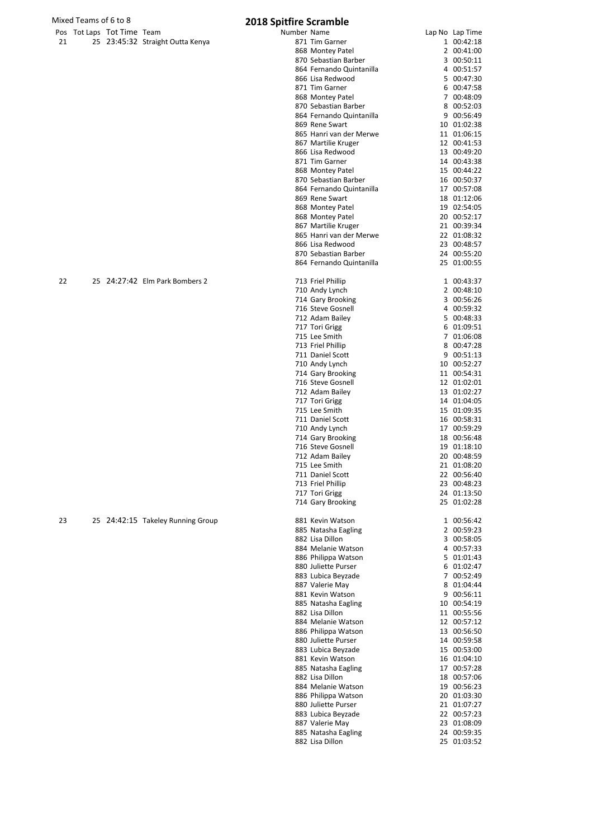|    | Mixed Teams of 6 to 8      |                                   | <b>2018 Spitfire Scramble</b> |                                            |                            |
|----|----------------------------|-----------------------------------|-------------------------------|--------------------------------------------|----------------------------|
|    | Pos Tot Laps Tot Time Team |                                   | Number Name                   |                                            | Lap No Lap Time            |
| 21 |                            | 25 23:45:32 Straight Outta Kenya  |                               | 871 Tim Garner                             | 1 00:42:18                 |
|    |                            |                                   |                               | 868 Montey Patel                           | 2 00:41:00                 |
|    |                            |                                   |                               | 870 Sebastian Barber                       | 3 00:50:11                 |
|    |                            |                                   |                               | 864 Fernando Quintanilla                   | 4 00:51:57                 |
|    |                            |                                   |                               | 866 Lisa Redwood                           | 5 00:47:30                 |
|    |                            |                                   |                               | 871 Tim Garner                             | 6 00:47:58                 |
|    |                            |                                   |                               | 868 Montey Patel                           | 7 00:48:09                 |
|    |                            |                                   |                               | 870 Sebastian Barber                       | 8 00:52:03                 |
|    |                            |                                   |                               | 864 Fernando Quintanilla<br>869 Rene Swart | 9 00:56:49<br>10 01:02:38  |
|    |                            |                                   |                               | 865 Hanri van der Merwe                    | 11 01:06:15                |
|    |                            |                                   |                               | 867 Martilie Kruger                        | 12 00:41:53                |
|    |                            |                                   |                               | 866 Lisa Redwood                           | 13 00:49:20                |
|    |                            |                                   |                               | 871 Tim Garner                             | 14 00:43:38                |
|    |                            |                                   |                               | 868 Montey Patel                           | 15 00:44:22                |
|    |                            |                                   |                               | 870 Sebastian Barber                       | 16 00:50:37                |
|    |                            |                                   |                               | 864 Fernando Quintanilla                   | 17 00:57:08                |
|    |                            |                                   |                               | 869 Rene Swart                             | 18 01:12:06                |
|    |                            |                                   |                               | 868 Montey Patel                           | 19 02:54:05                |
|    |                            |                                   |                               | 868 Montey Patel                           | 20 00:52:17                |
|    |                            |                                   |                               | 867 Martilie Kruger                        | 21 00:39:34                |
|    |                            |                                   |                               | 865 Hanri van der Merwe                    | 22 01:08:32                |
|    |                            |                                   |                               | 866 Lisa Redwood                           | 23 00:48:57                |
|    |                            |                                   |                               | 870 Sebastian Barber                       | 24 00:55:20                |
|    |                            |                                   |                               | 864 Fernando Quintanilla                   | 25 01:00:55                |
| 22 |                            | 25 24:27:42 Elm Park Bombers 2    |                               | 713 Friel Phillip                          | 1 00:43:37                 |
|    |                            |                                   |                               | 710 Andy Lynch                             | 2 00:48:10                 |
|    |                            |                                   |                               | 714 Gary Brooking                          | 3 00:56:26                 |
|    |                            |                                   |                               | 716 Steve Gosnell                          | 4 00:59:32                 |
|    |                            |                                   |                               | 712 Adam Bailey                            | 5 00:48:33                 |
|    |                            |                                   |                               | 717 Tori Grigg                             | 6 01:09:51                 |
|    |                            |                                   |                               | 715 Lee Smith                              | 7 01:06:08                 |
|    |                            |                                   |                               | 713 Friel Phillip                          | 8 00:47:28                 |
|    |                            |                                   |                               | 711 Daniel Scott                           | 9 00:51:13                 |
|    |                            |                                   |                               | 710 Andy Lynch                             | 10 00:52:27                |
|    |                            |                                   |                               | 714 Gary Brooking                          | 11 00:54:31                |
|    |                            |                                   |                               | 716 Steve Gosnell                          | 12 01:02:01                |
|    |                            |                                   |                               | 712 Adam Bailey<br>717 Tori Grigg          | 13 01:02:27<br>14 01:04:05 |
|    |                            |                                   |                               | 715 Lee Smith                              | 15 01:09:35                |
|    |                            |                                   |                               | 711 Daniel Scott                           | 16 00:58:31                |
|    |                            |                                   |                               | 710 Andy Lynch                             | 17 00:59:29                |
|    |                            |                                   |                               | 714 Gary Brooking                          | 18 00:56:48                |
|    |                            |                                   |                               | 716 Steve Gosnell                          | 19 01:18:10                |
|    |                            |                                   |                               | 712 Adam Bailey                            | 20 00:48:59                |
|    |                            |                                   |                               | 715 Lee Smith                              | 21 01:08:20                |
|    |                            |                                   |                               | 711 Daniel Scott                           | 22 00:56:40                |
|    |                            |                                   |                               | 713 Friel Phillip                          | 23 00:48:23                |
|    |                            |                                   |                               | 717 Tori Grigg                             | 24 01:13:50                |
|    |                            |                                   |                               | 714 Gary Brooking                          | 25 01:02:28                |
| 23 |                            | 25 24:42:15 Takeley Running Group |                               | 881 Kevin Watson                           | 1 00:56:42                 |
|    |                            |                                   |                               | 885 Natasha Eagling                        | 2 00:59:23                 |
|    |                            |                                   |                               | 882 Lisa Dillon                            | 3 00:58:05                 |
|    |                            |                                   |                               | 884 Melanie Watson                         | 4 00:57:33                 |
|    |                            |                                   |                               | 886 Philippa Watson                        | 5 01:01:43                 |
|    |                            |                                   |                               | 880 Juliette Purser                        | 6 01:02:47                 |
|    |                            |                                   |                               | 883 Lubica Beyzade                         | 7 00:52:49                 |
|    |                            |                                   |                               | 887 Valerie May                            | 8 01:04:44                 |
|    |                            |                                   |                               | 881 Kevin Watson                           | 9 00:56:11                 |
|    |                            |                                   |                               | 885 Natasha Eagling                        | 10 00:54:19                |
|    |                            |                                   |                               | 882 Lisa Dillon                            | 11 00:55:56                |
|    |                            |                                   |                               | 884 Melanie Watson                         | 12 00:57:12                |
|    |                            |                                   |                               | 886 Philippa Watson                        | 13 00:56:50                |

| <b></b> | <b>PLANSHAILDAING</b>    | J              | 00.JU.LL    |
|---------|--------------------------|----------------|-------------|
|         | 864 Fernando Quintanilla |                | 4 00:51:57  |
|         | 866 Lisa Redwood         |                | 5 00:47:30  |
|         | 871 Tim Garner           |                | 6 00:47:58  |
|         | 868 Montey Patel         |                | 7 00:48:09  |
|         |                          |                |             |
|         | 870 Sebastian Barber     |                | 8 00:52:03  |
|         | 864 Fernando Quintanilla |                | 9 00:56:49  |
|         | 869 Rene Swart           |                | 10 01:02:38 |
|         | 865 Hanri van der Merwe  |                | 11 01:06:15 |
|         | 867 Martilie Kruger      |                | 12 00:41:53 |
|         | 866 Lisa Redwood         |                | 13 00:49:20 |
|         |                          |                |             |
|         | 871 Tim Garner           |                | 14 00:43:38 |
|         | 868 Montey Patel         |                | 15 00:44:22 |
|         | 870 Sebastian Barber     |                | 16 00:50:37 |
|         | 864 Fernando Quintanilla |                | 17 00:57:08 |
|         | 869 Rene Swart           |                | 18 01:12:06 |
|         |                          |                |             |
|         | 868 Montey Patel         |                | 19 02:54:05 |
|         | 868 Montey Patel         |                | 20 00:52:17 |
|         | 867 Martilie Kruger      |                | 21 00:39:34 |
|         | 865 Hanri van der Merwe  |                | 22 01:08:32 |
|         | 866 Lisa Redwood         |                | 23 00:48:57 |
|         | 870 Sebastian Barber     |                | 24 00:55:20 |
|         |                          |                |             |
|         | 864 Fernando Quintanilla |                | 25 01:00:55 |
|         |                          |                |             |
|         | 713 Friel Phillip        |                | 1 00:43:37  |
|         | 710 Andy Lynch           |                | 2 00:48:10  |
|         | 714 Gary Brooking        |                | 3 00:56:26  |
|         | 716 Steve Gosnell        |                | 4 00:59:32  |
|         | 712 Adam Bailey          |                | 5 00:48:33  |
|         | 717 Tori Grigg           |                | 6 01:09:51  |
|         |                          |                |             |
|         | 715 Lee Smith            |                | 7 01:06:08  |
|         | 713 Friel Phillip        |                | 8 00:47:28  |
|         | 711 Daniel Scott         |                | 9 00:51:13  |
|         | 710 Andy Lynch           |                | 10 00:52:27 |
|         | 714 Gary Brooking        |                | 11 00:54:31 |
|         | 716 Steve Gosnell        |                | 12 01:02:01 |
|         |                          |                |             |
|         | 712 Adam Bailey          |                | 13 01:02:27 |
|         | 717 Tori Grigg           |                | 14 01:04:05 |
|         | 715 Lee Smith            |                | 15 01:09:35 |
|         | 711 Daniel Scott         |                | 16 00:58:31 |
|         | 710 Andy Lynch           |                | 17 00:59:29 |
|         | 714 Gary Brooking        |                | 18 00:56:48 |
|         |                          |                |             |
|         | 716 Steve Gosnell        |                | 19 01:18:10 |
|         | 712 Adam Bailey          |                | 20 00:48:59 |
|         | 715 Lee Smith            |                | 21 01:08:20 |
|         | 711 Daniel Scott         |                | 22 00:56:40 |
|         | 713 Friel Phillip        |                | 23 00:48:23 |
|         | 717 Tori Grigg           |                | 24 01:13:50 |
|         | 714 Gary Brooking        |                | 25 01:02:28 |
|         |                          |                |             |
|         | 881 Kevin Watson         | 1              | 00:56:42    |
|         | 885 Natasha Eagling      | 2              | 00:59:23    |
|         |                          |                |             |
|         | 882 Lisa Dillon          |                | 3 00:58:05  |
|         | 884 Melanie Watson       | 4              | 00:57:33    |
|         | 886 Philippa Watson      |                | 5 01:01:43  |
|         | 880 Juliette Purser      | 6              | 01:02:47    |
|         | 883 Lubica Beyzade       | $\overline{7}$ | 00:52:49    |
|         | 887 Valerie May          | 8              | 01:04:44    |
|         |                          |                |             |
|         | 881 Kevin Watson         |                | 9 00:56:11  |
|         | 885 Natasha Eagling      |                | 10 00:54:19 |
|         | 882 Lisa Dillon          |                | 11 00:55:56 |
|         | 884 Melanie Watson       |                | 12 00:57:12 |
|         | 886 Philippa Watson      |                | 13 00:56:50 |
|         | 880 Juliette Purser      |                | 14 00:59:58 |
|         |                          |                |             |
|         | 883 Lubica Beyzade       | 15             | 00:53:00    |
|         | 881 Kevin Watson         |                | 16 01:04:10 |
|         | 885 Natasha Eagling      | 17             | 00:57:28    |
|         | 882 Lisa Dillon          |                | 18 00:57:06 |
|         | 884 Melanie Watson       |                | 19 00:56:23 |
|         | 886 Philippa Watson      |                | 20 01:03:30 |
|         | 880 Juliette Purser      |                |             |
|         |                          |                | 21 01:07:27 |
|         | 883 Lubica Beyzade       |                | 22 00:57:23 |
|         | 887 Valerie May          |                | 23 01:08:09 |
|         | 885 Natasha Eagling      |                | 24 00:59:35 |
|         | 882 Lisa Dillon          | 25             | 01:03:52    |
|         |                          |                |             |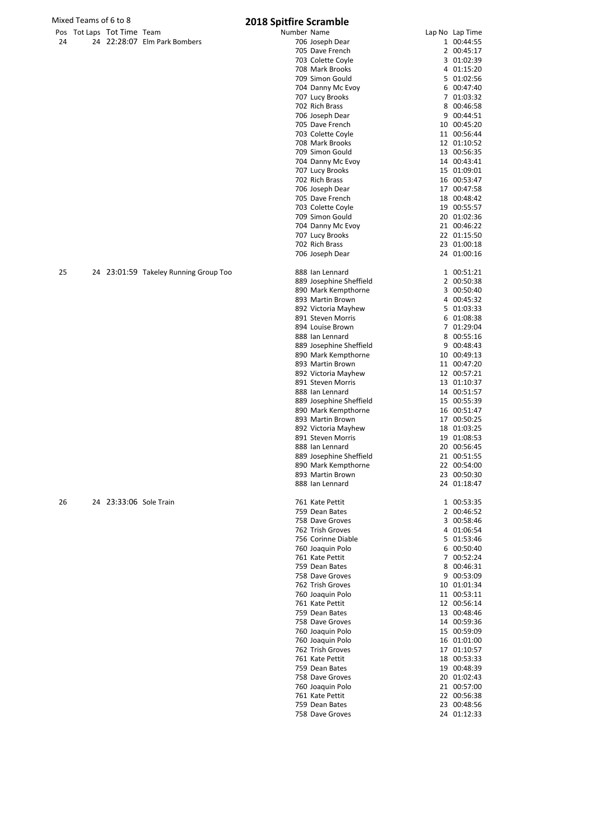|    | Mixed Teams of 6 to 8      |                                       | <b>2018 Spitfire Scramble</b> |                                          |                            |
|----|----------------------------|---------------------------------------|-------------------------------|------------------------------------------|----------------------------|
|    | Pos Tot Laps Tot Time Team |                                       | Number Name                   |                                          | Lap No Lap Time            |
| 24 |                            | 24 22:28:07 Elm Park Bombers          |                               | 706 Joseph Dear                          | 1 00:44:55                 |
|    |                            |                                       |                               | 705 Dave French                          | 2 00:45:17                 |
|    |                            |                                       |                               | 703 Colette Coyle                        | 3 01:02:39                 |
|    |                            |                                       |                               | 708 Mark Brooks                          | 4 01:15:20                 |
|    |                            |                                       |                               | 709 Simon Gould                          | 5 01:02:56                 |
|    |                            |                                       |                               | 704 Danny Mc Evoy                        | 6 00:47:40                 |
|    |                            |                                       |                               | 707 Lucy Brooks<br>702 Rich Brass        | 7 01:03:32<br>8 00:46:58   |
|    |                            |                                       |                               | 706 Joseph Dear                          | 9 00:44:51                 |
|    |                            |                                       |                               | 705 Dave French                          | 10 00:45:20                |
|    |                            |                                       |                               | 703 Colette Coyle                        | 11 00:56:44                |
|    |                            |                                       |                               | 708 Mark Brooks                          | 12 01:10:52                |
|    |                            |                                       |                               | 709 Simon Gould                          | 13 00:56:35                |
|    |                            |                                       |                               | 704 Danny Mc Evoy                        | 14 00:43:41                |
|    |                            |                                       |                               | 707 Lucy Brooks                          | 15 01:09:01                |
|    |                            |                                       |                               | 702 Rich Brass                           | 16 00:53:47                |
|    |                            |                                       |                               | 706 Joseph Dear                          | 17 00:47:58                |
|    |                            |                                       |                               | 705 Dave French                          | 18 00:48:42                |
|    |                            |                                       |                               | 703 Colette Coyle                        | 19 00:55:57                |
|    |                            |                                       |                               | 709 Simon Gould                          | 20 01:02:36                |
|    |                            |                                       |                               | 704 Danny Mc Evoy                        | 21 00:46:22                |
|    |                            |                                       |                               | 707 Lucy Brooks                          | 22 01:15:50                |
|    |                            |                                       |                               | 702 Rich Brass                           | 23 01:00:18                |
|    |                            |                                       |                               | 706 Joseph Dear                          | 24 01:00:16                |
| 25 |                            | 24 23:01:59 Takeley Running Group Too |                               | 888 Ian Lennard                          | 1 00:51:21                 |
|    |                            |                                       |                               | 889 Josephine Sheffield                  | 2 00:50:38                 |
|    |                            |                                       |                               | 890 Mark Kempthorne                      | 3 00:50:40                 |
|    |                            |                                       |                               | 893 Martin Brown                         | 4 00:45:32                 |
|    |                            |                                       |                               | 892 Victoria Mayhew                      | 5 01:03:33                 |
|    |                            |                                       |                               | 891 Steven Morris                        | 6 01:08:38                 |
|    |                            |                                       |                               | 894 Louise Brown                         | 7 01:29:04                 |
|    |                            |                                       |                               | 888 Ian Lennard                          | 8 00:55:16                 |
|    |                            |                                       |                               | 889 Josephine Sheffield                  | 9 00:48:43                 |
|    |                            |                                       |                               | 890 Mark Kempthorne                      | 10 00:49:13                |
|    |                            |                                       |                               | 893 Martin Brown                         | 11 00:47:20                |
|    |                            |                                       |                               | 892 Victoria Mayhew                      | 12 00:57:21                |
|    |                            |                                       |                               | 891 Steven Morris                        | 13 01:10:37                |
|    |                            |                                       |                               | 888 Ian Lennard                          | 14 00:51:57                |
|    |                            |                                       |                               | 889 Josephine Sheffield                  | 15 00:55:39                |
|    |                            |                                       |                               | 890 Mark Kempthorne                      | 16 00:51:47                |
|    |                            |                                       |                               | 893 Martin Brown                         | 17 00:50:25                |
|    |                            |                                       |                               | 892 Victoria Mayhew<br>891 Steven Morris | 18 01:03:25<br>19 01:08:53 |
|    |                            |                                       |                               | 888 Ian Lennard                          | 20 00:56:45                |
|    |                            |                                       |                               | 889 Josephine Sheffield                  | 21 00:51:55                |
|    |                            |                                       |                               | 890 Mark Kempthorne                      | 22 00:54:00                |
|    |                            |                                       |                               | 893 Martin Brown                         | 23 00:50:30                |
|    |                            |                                       |                               | 888 Ian Lennard                          | 24 01:18:47                |
| 26 | 24 23:33:06 Sole Train     |                                       |                               | 761 Kate Pettit                          | 1 00:53:35                 |
|    |                            |                                       |                               | 759 Dean Bates                           | 2 00:46:52                 |
|    |                            |                                       |                               | 758 Dave Groves                          | 3 00:58:46                 |
|    |                            |                                       |                               | 762 Trish Groves                         | 4 01:06:54                 |
|    |                            |                                       |                               | 756 Corinne Diable                       | 5 01:53:46                 |
|    |                            |                                       |                               | 760 Joaquin Polo                         | 6 00:50:40                 |
|    |                            |                                       |                               | 761 Kate Pettit                          | 7 00:52:24                 |
|    |                            |                                       |                               | 759 Dean Bates                           | 8 00:46:31                 |
|    |                            |                                       |                               | 758 Dave Groves                          | 9 00:53:09                 |
|    |                            |                                       |                               | 762 Trish Groves                         | 10 01:01:34                |
|    |                            |                                       |                               | 760 Joaquin Polo                         | 11 00:53:11                |
|    |                            |                                       |                               | 761 Kate Pettit                          | 12 00:56:14                |
|    |                            |                                       |                               | 759 Dean Bates                           | 13 00:48:46                |
|    |                            |                                       |                               | 758 Dave Groves                          | 14 00:59:36                |
|    |                            |                                       |                               | 760 Joaquin Polo                         | 15 00:59:09                |
|    |                            |                                       |                               | 760 Joaquin Polo                         | 16 01:01:00                |
|    |                            |                                       |                               | 762 Trish Groves<br>761 Kate Pettit      | 17 01:10:57<br>18 00:53:33 |
|    |                            |                                       |                               | 759 Dean Bates                           | 19 00:48:39                |
|    |                            |                                       |                               | 758 Dave Groves                          | 20 01:02:43                |
|    |                            |                                       |                               | 760 Joaquin Polo                         | 21 00:57:00                |
|    |                            |                                       |                               | 761 Kate Pettit                          | 22 00:56:38                |
|    |                            |                                       |                               |                                          |                            |

 Dean Bates 23 00:48:56 Dave Groves 24 01:12:33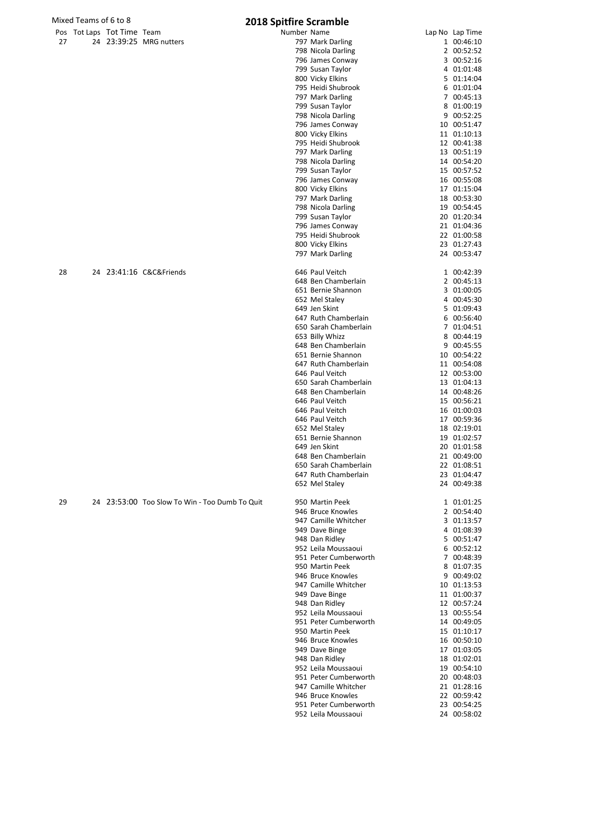| Mixed Teams of 6 to 8 |                            |                                                | 2018 Spitfire Scramble                        |                            |
|-----------------------|----------------------------|------------------------------------------------|-----------------------------------------------|----------------------------|
|                       | Pos Tot Laps Tot Time Team |                                                | Number Name                                   | Lap No Lap Time            |
| 27                    |                            | 24 23:39:25 MRG nutters                        | 797 Mark Darling                              | 1 00:46:10                 |
|                       |                            |                                                | 798 Nicola Darling                            | 2 00:52:52                 |
|                       |                            |                                                | 796 James Conway                              | 3 00:52:16                 |
|                       |                            |                                                | 799 Susan Taylor<br>800 Vicky Elkins          | 4 01:01:48<br>5 01:14:04   |
|                       |                            |                                                | 795 Heidi Shubrook                            | 6 01:01:04                 |
|                       |                            |                                                | 797 Mark Darling                              | 7 00:45:13                 |
|                       |                            |                                                | 799 Susan Taylor                              | 8 01:00:19                 |
|                       |                            |                                                | 798 Nicola Darling                            | 9 00:52:25                 |
|                       |                            |                                                | 796 James Conway                              | 10 00:51:47                |
|                       |                            |                                                | 800 Vicky Elkins<br>795 Heidi Shubrook        | 11 01:10:13<br>12 00:41:38 |
|                       |                            |                                                | 797 Mark Darling                              | 13 00:51:19                |
|                       |                            |                                                | 798 Nicola Darling                            | 14 00:54:20                |
|                       |                            |                                                | 799 Susan Taylor                              | 15 00:57:52                |
|                       |                            |                                                | 796 James Conway                              | 16 00:55:08                |
|                       |                            |                                                | 800 Vicky Elkins                              | 17 01:15:04                |
|                       |                            |                                                | 797 Mark Darling                              | 18 00:53:30                |
|                       |                            |                                                | 798 Nicola Darling<br>799 Susan Taylor        | 19 00:54:45<br>20 01:20:34 |
|                       |                            |                                                | 796 James Conway                              | 21 01:04:36                |
|                       |                            |                                                | 795 Heidi Shubrook                            | 22 01:00:58                |
|                       |                            |                                                | 800 Vicky Elkins                              | 23 01:27:43                |
|                       |                            |                                                | 797 Mark Darling                              | 24 00:53:47                |
| 28                    |                            | 24 23:41:16 C&C&Friends                        | 646 Paul Veitch                               | 1 00:42:39                 |
|                       |                            |                                                | 648 Ben Chamberlain                           | 2 00:45:13                 |
|                       |                            |                                                | 651 Bernie Shannon                            | 3 01:00:05                 |
|                       |                            |                                                | 652 Mel Staley                                | 4 00:45:30                 |
|                       |                            |                                                | 649 Jen Skint                                 | 5 01:09:43                 |
|                       |                            |                                                | 647 Ruth Chamberlain                          | 6 00:56:40                 |
|                       |                            |                                                | 650 Sarah Chamberlain<br>653 Billy Whizz      | 7 01:04:51<br>8 00:44:19   |
|                       |                            |                                                | 648 Ben Chamberlain                           | 9 00:45:55                 |
|                       |                            |                                                | 651 Bernie Shannon                            | 10 00:54:22                |
|                       |                            |                                                | 647 Ruth Chamberlain                          | 11 00:54:08                |
|                       |                            |                                                | 646 Paul Veitch                               | 12 00:53:00                |
|                       |                            |                                                | 650 Sarah Chamberlain                         | 13 01:04:13                |
|                       |                            |                                                | 648 Ben Chamberlain<br>646 Paul Veitch        | 14 00:48:26                |
|                       |                            |                                                | 646 Paul Veitch                               | 15 00:56:21<br>16 01:00:03 |
|                       |                            |                                                | 646 Paul Veitch                               | 17 00:59:36                |
|                       |                            |                                                | 652 Mel Staley                                | 18 02:19:01                |
|                       |                            |                                                | 651 Bernie Shannon                            | 19 01:02:57                |
|                       |                            |                                                | 649 Jen Skint                                 | 20 01:01:58                |
|                       |                            |                                                | 648 Ben Chamberlain                           | 21 00:49:00                |
|                       |                            |                                                | 650 Sarah Chamberlain<br>647 Ruth Chamberlain | 22 01:08:51<br>23 01:04:47 |
|                       |                            |                                                | 652 Mel Staley                                | 24 00:49:38                |
|                       |                            |                                                |                                               |                            |
| 29                    |                            | 24 23:53:00 Too Slow To Win - Too Dumb To Quit | 950 Martin Peek                               | 1 01:01:25                 |
|                       |                            |                                                | 946 Bruce Knowles<br>947 Camille Whitcher     | 2 00:54:40<br>3 01:13:57   |
|                       |                            |                                                | 949 Dave Binge                                | 4 01:08:39                 |
|                       |                            |                                                | 948 Dan Ridley                                | 5 00:51:47                 |
|                       |                            |                                                | 952 Leila Moussaoui                           | 6 00:52:12                 |
|                       |                            |                                                | 951 Peter Cumberworth                         | 7 00:48:39                 |
|                       |                            |                                                | 950 Martin Peek<br>946 Bruce Knowles          | 8 01:07:35<br>9 00:49:02   |
|                       |                            |                                                | 947 Camille Whitcher                          | 10 01:13:53                |
|                       |                            |                                                | 949 Dave Binge                                | 11 01:00:37                |
|                       |                            |                                                | 948 Dan Ridley                                | 12 00:57:24                |
|                       |                            |                                                | 952 Leila Moussaoui                           | 13 00:55:54                |
|                       |                            |                                                | 951 Peter Cumberworth                         | 14 00:49:05                |
|                       |                            |                                                | 950 Martin Peek                               | 15 01:10:17                |
|                       |                            |                                                | 946 Bruce Knowles<br>949 Dave Binge           | 16 00:50:10<br>17 01:03:05 |
|                       |                            |                                                | 948 Dan Ridley                                | 18 01:02:01                |
|                       |                            |                                                | 952 Leila Moussaoui                           | 19 00:54:10                |
|                       |                            |                                                | 951 Peter Cumberworth                         | 20 00:48:03                |
|                       |                            |                                                | 947 Camille Whitcher                          | 21 01:28:16                |
|                       |                            |                                                | 946 Bruce Knowles<br>951 Peter Cumberworth    | 22 00:59:42                |
|                       |                            |                                                | 952 Leila Moussaoui                           | 23 00:54:25<br>24 00:58:02 |
|                       |                            |                                                |                                               |                            |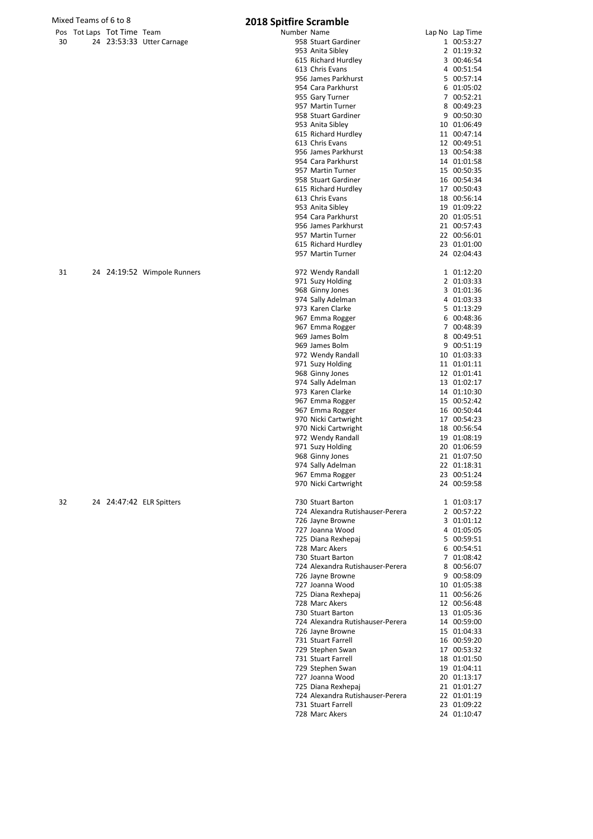|    | Mixed Teams of 6 to 8 |                            |                             | <b>2018 Spitfire Scramble</b>            |                            |
|----|-----------------------|----------------------------|-----------------------------|------------------------------------------|----------------------------|
|    |                       | Pos Tot Laps Tot Time Team |                             | Number Name                              | Lap No Lap Time            |
| 30 |                       |                            | 24 23:53:33 Utter Carnage   | 958 Stuart Gardiner                      | 1 00:53:27                 |
|    |                       |                            |                             | 953 Anita Sibley                         | 2 01:19:32                 |
|    |                       |                            |                             | 615 Richard Hurdley                      | 3 00:46:54                 |
|    |                       |                            |                             | 613 Chris Evans<br>956 James Parkhurst   | 4 00:51:54<br>5 00:57:14   |
|    |                       |                            |                             | 954 Cara Parkhurst                       | 6 01:05:02                 |
|    |                       |                            |                             | 955 Gary Turner                          | 7 00:52:21                 |
|    |                       |                            |                             | 957 Martin Turner                        | 8 00:49:23                 |
|    |                       |                            |                             | 958 Stuart Gardiner                      | 9 00:50:30                 |
|    |                       |                            |                             | 953 Anita Sibley                         | 10 01:06:49                |
|    |                       |                            |                             | 615 Richard Hurdley                      | 11 00:47:14                |
|    |                       |                            |                             | 613 Chris Evans<br>956 James Parkhurst   | 12 00:49:51                |
|    |                       |                            |                             | 954 Cara Parkhurst                       | 13 00:54:38<br>14 01:01:58 |
|    |                       |                            |                             | 957 Martin Turner                        | 15 00:50:35                |
|    |                       |                            |                             | 958 Stuart Gardiner                      | 16 00:54:34                |
|    |                       |                            |                             | 615 Richard Hurdley                      | 17 00:50:43                |
|    |                       |                            |                             | 613 Chris Evans                          | 18 00:56:14                |
|    |                       |                            |                             | 953 Anita Sibley                         | 19 01:09:22                |
|    |                       |                            |                             | 954 Cara Parkhurst                       | 20 01:05:51                |
|    |                       |                            |                             | 956 James Parkhurst                      | 21 00:57:43                |
|    |                       |                            |                             | 957 Martin Turner<br>615 Richard Hurdley | 22 00:56:01<br>23 01:01:00 |
|    |                       |                            |                             | 957 Martin Turner                        | 24 02:04:43                |
|    |                       |                            |                             |                                          |                            |
| 31 |                       |                            | 24 24:19:52 Wimpole Runners | 972 Wendy Randall                        | 1 01:12:20                 |
|    |                       |                            |                             | 971 Suzy Holding                         | 2 01:03:33<br>3 01:01:36   |
|    |                       |                            |                             | 968 Ginny Jones<br>974 Sally Adelman     | 4 01:03:33                 |
|    |                       |                            |                             | 973 Karen Clarke                         | 5 01:13:29                 |
|    |                       |                            |                             | 967 Emma Rogger                          | 6 00:48:36                 |
|    |                       |                            |                             | 967 Emma Rogger                          | 7 00:48:39                 |
|    |                       |                            |                             | 969 James Bolm                           | 8 00:49:51                 |
|    |                       |                            |                             | 969 James Bolm                           | 9 00:51:19                 |
|    |                       |                            |                             | 972 Wendy Randall                        | 10 01:03:33                |
|    |                       |                            |                             | 971 Suzy Holding                         | 11 01:01:11                |
|    |                       |                            |                             | 968 Ginny Jones                          | 12 01:01:41                |
|    |                       |                            |                             | 974 Sally Adelman<br>973 Karen Clarke    | 13 01:02:17<br>14 01:10:30 |
|    |                       |                            |                             | 967 Emma Rogger                          | 15 00:52:42                |
|    |                       |                            |                             | 967 Emma Rogger                          | 16 00:50:44                |
|    |                       |                            |                             | 970 Nicki Cartwright                     | 17 00:54:23                |
|    |                       |                            |                             | 970 Nicki Cartwright                     | 18 00:56:54                |
|    |                       |                            |                             | 972 Wendy Randall                        | 19 01:08:19                |
|    |                       |                            |                             | 971 Suzy Holding                         | 20 01:06:59                |
|    |                       |                            |                             | 968 Ginny Jones                          | 21 01:07:50                |
|    |                       |                            |                             | 974 Sally Adelman<br>967 Emma Rogger     | 22 01:18:31<br>23 00:51:24 |
|    |                       |                            |                             | 970 Nicki Cartwright                     | 24 00:59:58                |
| 32 |                       |                            | 24 24:47:42 ELR Spitters    | 730 Stuart Barton                        | 1 01:03:17                 |
|    |                       |                            |                             | 724 Alexandra Rutishauser-Perera         | 2 00:57:22                 |
|    |                       |                            |                             | 726 Jayne Browne                         | 3 01:01:12                 |
|    |                       |                            |                             | 727 Joanna Wood                          | 4 01:05:05                 |
|    |                       |                            |                             | 725 Diana Rexhepaj                       | 5 00:59:51                 |
|    |                       |                            |                             | 728 Marc Akers<br>730 Stuart Barton      | 6 00:54:51<br>7 01:08:42   |
|    |                       |                            |                             | 724 Alexandra Rutishauser-Perera         | 8 00:56:07                 |
|    |                       |                            |                             | 726 Jayne Browne                         | 9 00:58:09                 |
|    |                       |                            |                             | 727 Joanna Wood                          | 10 01:05:38                |
|    |                       |                            |                             | 725 Diana Rexhepaj                       | 11 00:56:26                |
|    |                       |                            |                             | 728 Marc Akers                           | 12 00:56:48                |
|    |                       |                            |                             | 730 Stuart Barton                        | 13 01:05:36                |
|    |                       |                            |                             | 724 Alexandra Rutishauser-Perera         | 14 00:59:00                |
|    |                       |                            |                             | 726 Jayne Browne                         | 15 01:04:33                |
|    |                       |                            |                             | 731 Stuart Farrell<br>729 Stephen Swan   | 16 00:59:20<br>17 00:53:32 |
|    |                       |                            |                             | 731 Stuart Farrell                       | 18 01:01:50                |
|    |                       |                            |                             | 729 Stephen Swan                         | 19 01:04:11                |
|    |                       |                            |                             | 727 Joanna Wood                          | 20 01:13:17                |
|    |                       |                            |                             | 725 Diana Rexhepaj                       | 21 01:01:27                |
|    |                       |                            |                             | 724 Alexandra Rutishauser-Perera         | 22 01:01:19                |
|    |                       |                            |                             | 731 Stuart Farrell                       | 23 01:09:22                |
|    |                       |                            |                             | 728 Marc Akers                           | 24 01:10:47                |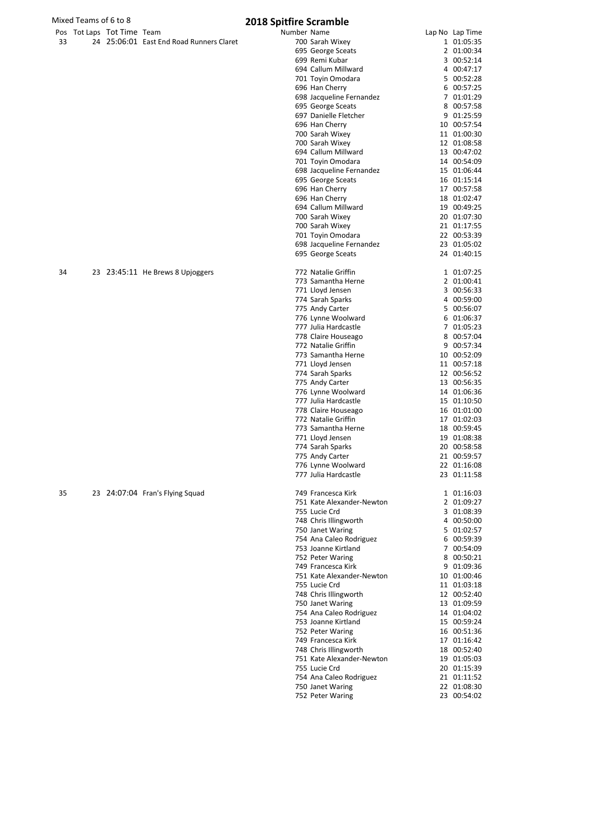| Mixed Teams of 6 to 8 |                            |                                          | <b>2018 Spitfire Scramble</b>                   |                            |
|-----------------------|----------------------------|------------------------------------------|-------------------------------------------------|----------------------------|
|                       | Pos Tot Laps Tot Time Team |                                          | Number Name                                     | Lap No Lap Time            |
| 33                    |                            | 24 25:06:01 East End Road Runners Claret | 700 Sarah Wixey                                 | 1 01:05:35                 |
|                       |                            |                                          | 695 George Sceats                               | 2 01:00:34                 |
|                       |                            |                                          | 699 Remi Kubar                                  | 3 00:52:14                 |
|                       |                            |                                          | 694 Callum Millward<br>701 Toyin Omodara        | 4 00:47:17<br>5 00:52:28   |
|                       |                            |                                          | 696 Han Cherry                                  | 6 00:57:25                 |
|                       |                            |                                          | 698 Jacqueline Fernandez                        | 7 01:01:29                 |
|                       |                            |                                          | 695 George Sceats                               | 8 00:57:58                 |
|                       |                            |                                          | 697 Danielle Fletcher                           | 9 01:25:59                 |
|                       |                            |                                          | 696 Han Cherry                                  | 10 00:57:54                |
|                       |                            |                                          | 700 Sarah Wixey                                 | 11 01:00:30                |
|                       |                            |                                          | 700 Sarah Wixey                                 | 12 01:08:58                |
|                       |                            |                                          | 694 Callum Millward                             | 13 00:47:02                |
|                       |                            |                                          | 701 Toyin Omodara<br>698 Jacqueline Fernandez   | 14 00:54:09<br>15 01:06:44 |
|                       |                            |                                          | 695 George Sceats                               | 16 01:15:14                |
|                       |                            |                                          | 696 Han Cherry                                  | 17 00:57:58                |
|                       |                            |                                          | 696 Han Cherry                                  | 18 01:02:47                |
|                       |                            |                                          | 694 Callum Millward                             | 19 00:49:25                |
|                       |                            |                                          | 700 Sarah Wixey                                 | 20 01:07:30                |
|                       |                            |                                          | 700 Sarah Wixey                                 | 21 01:17:55                |
|                       |                            |                                          | 701 Toyin Omodara                               | 22 00:53:39                |
|                       |                            |                                          | 698 Jacqueline Fernandez                        | 23 01:05:02<br>24 01:40:15 |
|                       |                            |                                          | 695 George Sceats                               |                            |
| 34                    |                            | 23 23:45:11 He Brews 8 Upjoggers         | 772 Natalie Griffin                             | 1 01:07:25                 |
|                       |                            |                                          | 773 Samantha Herne                              | 2 01:00:41                 |
|                       |                            |                                          | 771 Lloyd Jensen                                | 3 00:56:33                 |
|                       |                            |                                          | 774 Sarah Sparks                                | 4 00:59:00                 |
|                       |                            |                                          | 775 Andy Carter                                 | 5 00:56:07                 |
|                       |                            |                                          | 776 Lynne Woolward                              | 6 01:06:37                 |
|                       |                            |                                          | 777 Julia Hardcastle                            | 7 01:05:23                 |
|                       |                            |                                          | 778 Claire Houseago<br>772 Natalie Griffin      | 8 00:57:04<br>9 00:57:34   |
|                       |                            |                                          | 773 Samantha Herne                              | 10 00:52:09                |
|                       |                            |                                          | 771 Lloyd Jensen                                | 11 00:57:18                |
|                       |                            |                                          | 774 Sarah Sparks                                | 12 00:56:52                |
|                       |                            |                                          | 775 Andy Carter                                 | 13 00:56:35                |
|                       |                            |                                          | 776 Lynne Woolward                              | 14 01:06:36                |
|                       |                            |                                          | 777 Julia Hardcastle                            | 15 01:10:50                |
|                       |                            |                                          | 778 Claire Houseago                             | 16 01:01:00                |
|                       |                            |                                          | 772 Natalie Griffin<br>773 Samantha Herne       | 17 01:02:03<br>18 00:59:45 |
|                       |                            |                                          | 771 Lloyd Jensen                                | 19 01:08:38                |
|                       |                            |                                          | 774 Sarah Sparks                                | 20 00:58:58                |
|                       |                            |                                          | 775 Andy Carter                                 | 21 00:59:57                |
|                       |                            |                                          | 776 Lynne Woolward                              | 22 01:16:08                |
|                       |                            |                                          | 777 Julia Hardcastle                            | 23 01:11:58                |
|                       |                            |                                          |                                                 |                            |
| 35                    |                            | 23 24:07:04 Fran's Flying Squad          | 749 Francesca Kirk<br>751 Kate Alexander-Newton | 1 01:16:03<br>2 01:09:27   |
|                       |                            |                                          | 755 Lucie Crd                                   | 3 01:08:39                 |
|                       |                            |                                          | 748 Chris Illingworth                           | 4 00:50:00                 |
|                       |                            |                                          | 750 Janet Waring                                | 5 01:02:57                 |
|                       |                            |                                          | 754 Ana Caleo Rodriguez                         | 6 00:59:39                 |
|                       |                            |                                          | 753 Joanne Kirtland                             | 7 00:54:09                 |
|                       |                            |                                          | 752 Peter Waring                                | 8 00:50:21                 |
|                       |                            |                                          | 749 Francesca Kirk                              | 9 01:09:36                 |
|                       |                            |                                          | 751 Kate Alexander-Newton<br>755 Lucie Crd      | 10 01:00:46<br>11 01:03:18 |
|                       |                            |                                          | 748 Chris Illingworth                           | 12 00:52:40                |
|                       |                            |                                          | 750 Janet Waring                                | 13 01:09:59                |
|                       |                            |                                          | 754 Ana Caleo Rodriguez                         | 14 01:04:02                |
|                       |                            |                                          | 753 Joanne Kirtland                             | 15 00:59:24                |
|                       |                            |                                          | 752 Peter Waring                                | 16 00:51:36                |
|                       |                            |                                          | 749 Francesca Kirk                              | 17 01:16:42                |
|                       |                            |                                          | 748 Chris Illingworth                           | 18 00:52:40                |
|                       |                            |                                          | 751 Kate Alexander-Newton                       | 19 01:05:03                |
|                       |                            |                                          | 755 Lucie Crd<br>754 Ana Caleo Rodriguez        | 20 01:15:39<br>21 01:11:52 |
|                       |                            |                                          | 750 Janet Waring                                | 22 01:08:30                |
|                       |                            |                                          | 752 Peter Waring                                | 23 00:54:02                |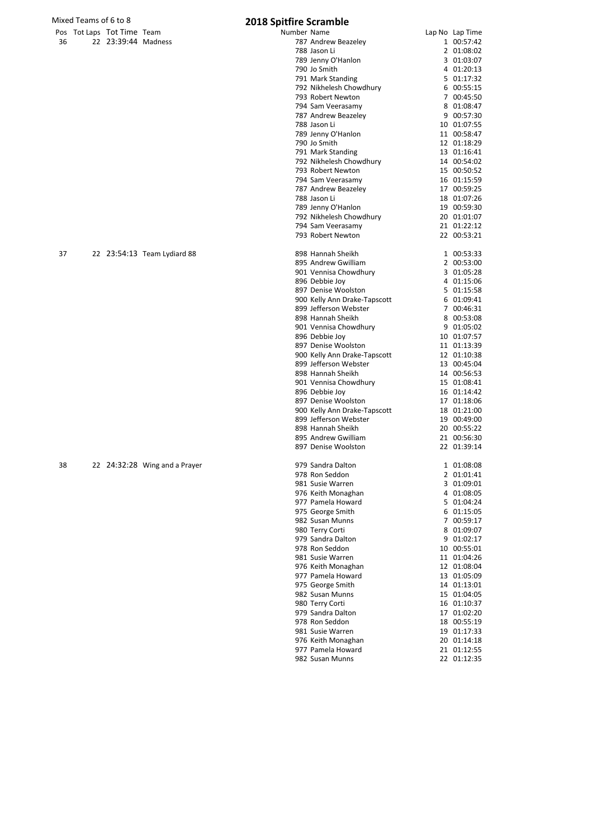|    | Mixed Teams of 6 to 8      |                     |                               | 2018 Spitfire Scramble |                                                       |                            |
|----|----------------------------|---------------------|-------------------------------|------------------------|-------------------------------------------------------|----------------------------|
|    | Pos Tot Laps Tot Time Team |                     |                               | Number Name            |                                                       | Lap No Lap Time            |
| 36 |                            | 22 23:39:44 Madness |                               |                        | 787 Andrew Beazeley                                   | 1 00:57:42                 |
|    |                            |                     |                               |                        | 788 Jason Li<br>789 Jenny O'Hanlon                    | 2 01:08:02<br>3 01:03:07   |
|    |                            |                     |                               |                        | 790 Jo Smith                                          | 4 01:20:13                 |
|    |                            |                     |                               |                        | 791 Mark Standing                                     | 5 01:17:32                 |
|    |                            |                     |                               |                        | 792 Nikhelesh Chowdhury                               | 6 00:55:15                 |
|    |                            |                     |                               |                        | 793 Robert Newton                                     | 7 00:45:50                 |
|    |                            |                     |                               |                        | 794 Sam Veerasamy                                     | 8 01:08:47                 |
|    |                            |                     |                               |                        | 787 Andrew Beazeley<br>788 Jason Li                   | 9 00:57:30<br>10 01:07:55  |
|    |                            |                     |                               |                        | 789 Jenny O'Hanlon                                    | 11 00:58:47                |
|    |                            |                     |                               |                        | 790 Jo Smith                                          | 12 01:18:29                |
|    |                            |                     |                               |                        | 791 Mark Standing                                     | 13 01:16:41                |
|    |                            |                     |                               |                        | 792 Nikhelesh Chowdhury                               | 14 00:54:02                |
|    |                            |                     |                               |                        | 793 Robert Newton<br>794 Sam Veerasamy                | 15 00:50:52<br>16 01:15:59 |
|    |                            |                     |                               |                        | 787 Andrew Beazeley                                   | 17 00:59:25                |
|    |                            |                     |                               |                        | 788 Jason Li                                          | 18 01:07:26                |
|    |                            |                     |                               |                        | 789 Jenny O'Hanlon                                    | 19 00:59:30                |
|    |                            |                     |                               |                        | 792 Nikhelesh Chowdhury                               | 20 01:01:07                |
|    |                            |                     |                               |                        | 794 Sam Veerasamy                                     | 21 01:22:12                |
|    |                            |                     |                               |                        | 793 Robert Newton                                     | 22 00:53:21                |
| 37 |                            |                     | 22 23:54:13 Team Lydiard 88   |                        | 898 Hannah Sheikh                                     | 1 00:53:33                 |
|    |                            |                     |                               |                        | 895 Andrew Gwilliam                                   | 2 00:53:00                 |
|    |                            |                     |                               |                        | 901 Vennisa Chowdhury                                 | 3 01:05:28                 |
|    |                            |                     |                               |                        | 896 Debbie Joy                                        | 4 01:15:06                 |
|    |                            |                     |                               |                        | 897 Denise Woolston<br>900 Kelly Ann Drake-Tapscott   | 5 01:15:58<br>6 01:09:41   |
|    |                            |                     |                               |                        | 899 Jefferson Webster                                 | 7 00:46:31                 |
|    |                            |                     |                               |                        | 898 Hannah Sheikh                                     | 8 00:53:08                 |
|    |                            |                     |                               |                        | 901 Vennisa Chowdhury                                 | 9 01:05:02                 |
|    |                            |                     |                               |                        | 896 Debbie Joy                                        | 10 01:07:57                |
|    |                            |                     |                               |                        | 897 Denise Woolston                                   | 11 01:13:39                |
|    |                            |                     |                               |                        | 900 Kelly Ann Drake-Tapscott<br>899 Jefferson Webster | 12 01:10:38<br>13 00:45:04 |
|    |                            |                     |                               |                        | 898 Hannah Sheikh                                     | 14 00:56:53                |
|    |                            |                     |                               |                        | 901 Vennisa Chowdhury                                 | 15 01:08:41                |
|    |                            |                     |                               |                        | 896 Debbie Joy                                        | 16 01:14:42                |
|    |                            |                     |                               |                        | 897 Denise Woolston                                   | 17 01:18:06                |
|    |                            |                     |                               |                        | 900 Kelly Ann Drake-Tapscott<br>899 Jefferson Webster | 18 01:21:00<br>19 00:49:00 |
|    |                            |                     |                               |                        | 898 Hannah Sheikh                                     | 20 00:55:22                |
|    |                            |                     |                               |                        | 895 Andrew Gwilliam                                   | 21 00:56:30                |
|    |                            |                     |                               |                        | 897 Denise Woolston                                   | 22 01:39:14                |
| 38 |                            |                     | 22 24:32:28 Wing and a Prayer |                        | 979 Sandra Dalton                                     | 1 01:08:08                 |
|    |                            |                     |                               |                        | 978 Ron Seddon                                        | 2 01:01:41                 |
|    |                            |                     |                               |                        | 981 Susie Warren                                      | 3 01:09:01                 |
|    |                            |                     |                               |                        | 976 Keith Monaghan                                    | 4 01:08:05                 |
|    |                            |                     |                               |                        | 977 Pamela Howard                                     | 5 01:04:24                 |
|    |                            |                     |                               |                        | 975 George Smith<br>982 Susan Munns                   | 6 01:15:05<br>7 00:59:17   |
|    |                            |                     |                               |                        | 980 Terry Corti                                       | 8 01:09:07                 |
|    |                            |                     |                               |                        | 979 Sandra Dalton                                     | 9 01:02:17                 |
|    |                            |                     |                               |                        | 978 Ron Seddon                                        | 10 00:55:01                |
|    |                            |                     |                               |                        | 981 Susie Warren                                      | 11 01:04:26                |
|    |                            |                     |                               |                        | 976 Keith Monaghan                                    | 12 01:08:04                |
|    |                            |                     |                               |                        | 977 Pamela Howard<br>975 George Smith                 | 13 01:05:09<br>14 01:13:01 |
|    |                            |                     |                               |                        | 982 Susan Munns                                       | 15 01:04:05                |
|    |                            |                     |                               |                        | 980 Terry Corti                                       | 16 01:10:37                |
|    |                            |                     |                               |                        | 979 Sandra Dalton                                     | 17 01:02:20                |
|    |                            |                     |                               |                        | 978 Ron Seddon                                        | 18 00:55:19                |
|    |                            |                     |                               |                        | 981 Susie Warren                                      | 19 01:17:33                |
|    |                            |                     |                               |                        | 976 Keith Monaghan<br>977 Pamela Howard               | 20 01:14:18<br>21 01:12:55 |
|    |                            |                     |                               |                        | 982 Susan Munns                                       | 22 01:12:35                |
|    |                            |                     |                               |                        |                                                       |                            |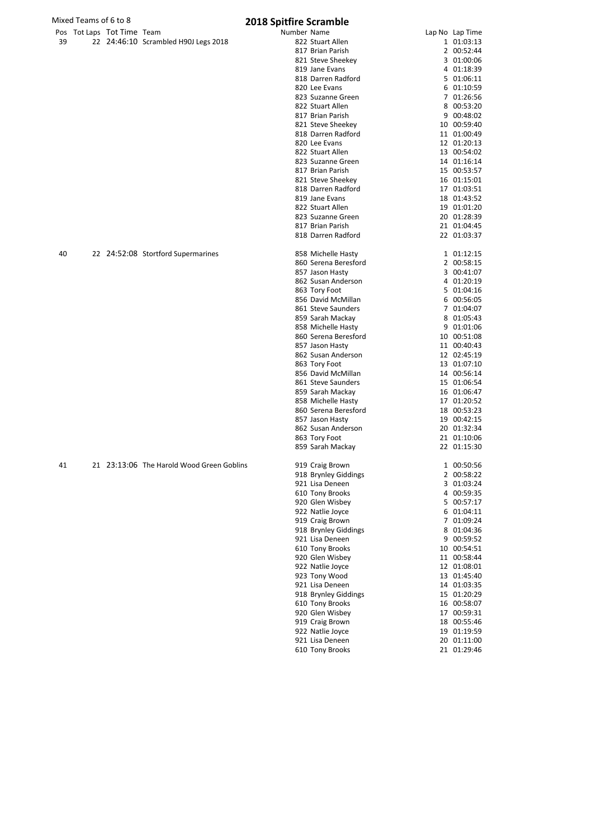|    | Mixed Teams of 6 to 8      | <b>2018 Spitfire Scramble</b>             |             |                      |  |                 |  |  |
|----|----------------------------|-------------------------------------------|-------------|----------------------|--|-----------------|--|--|
|    | Pos Tot Laps Tot Time Team |                                           | Number Name |                      |  | Lap No Lap Time |  |  |
| 39 |                            | 22 24:46:10 Scrambled H90J Legs 2018      |             | 822 Stuart Allen     |  | 1 01:03:13      |  |  |
|    |                            |                                           |             | 817 Brian Parish     |  | 2 00:52:44      |  |  |
|    |                            |                                           |             | 821 Steve Sheekey    |  | 3 01:00:06      |  |  |
|    |                            |                                           |             | 819 Jane Evans       |  | 4 01:18:39      |  |  |
|    |                            |                                           |             | 818 Darren Radford   |  | 5 01:06:11      |  |  |
|    |                            |                                           |             | 820 Lee Evans        |  | 6 01:10:59      |  |  |
|    |                            |                                           |             | 823 Suzanne Green    |  | 7 01:26:56      |  |  |
|    |                            |                                           |             | 822 Stuart Allen     |  | 8 00:53:20      |  |  |
|    |                            |                                           |             | 817 Brian Parish     |  | 9 00:48:02      |  |  |
|    |                            |                                           |             | 821 Steve Sheekey    |  | 10 00:59:40     |  |  |
|    |                            |                                           |             | 818 Darren Radford   |  | 11 01:00:49     |  |  |
|    |                            |                                           |             | 820 Lee Evans        |  | 12 01:20:13     |  |  |
|    |                            |                                           |             | 822 Stuart Allen     |  | 13 00:54:02     |  |  |
|    |                            |                                           |             | 823 Suzanne Green    |  | 14 01:16:14     |  |  |
|    |                            |                                           |             | 817 Brian Parish     |  | 15 00:53:57     |  |  |
|    |                            |                                           |             | 821 Steve Sheekey    |  | 16 01:15:01     |  |  |
|    |                            |                                           |             | 818 Darren Radford   |  | 17 01:03:51     |  |  |
|    |                            |                                           |             | 819 Jane Evans       |  | 18 01:43:52     |  |  |
|    |                            |                                           |             | 822 Stuart Allen     |  | 19 01:01:20     |  |  |
|    |                            |                                           |             | 823 Suzanne Green    |  | 20 01:28:39     |  |  |
|    |                            |                                           |             | 817 Brian Parish     |  | 21 01:04:45     |  |  |
|    |                            |                                           |             | 818 Darren Radford   |  | 22 01:03:37     |  |  |
| 40 |                            | 22 24:52:08 Stortford Supermarines        |             | 858 Michelle Hasty   |  | 1 01:12:15      |  |  |
|    |                            |                                           |             | 860 Serena Beresford |  | 2 00:58:15      |  |  |
|    |                            |                                           |             | 857 Jason Hasty      |  | 3 00:41:07      |  |  |
|    |                            |                                           |             | 862 Susan Anderson   |  | 4 01:20:19      |  |  |
|    |                            |                                           |             | 863 Tory Foot        |  | 5 01:04:16      |  |  |
|    |                            |                                           |             | 856 David McMillan   |  | 6 00:56:05      |  |  |
|    |                            |                                           |             | 861 Steve Saunders   |  | 7 01:04:07      |  |  |
|    |                            |                                           |             | 859 Sarah Mackay     |  | 8 01:05:43      |  |  |
|    |                            |                                           |             | 858 Michelle Hasty   |  | 9 01:01:06      |  |  |
|    |                            |                                           |             | 860 Serena Beresford |  | 10 00:51:08     |  |  |
|    |                            |                                           |             | 857 Jason Hasty      |  | 11 00:40:43     |  |  |
|    |                            |                                           |             | 862 Susan Anderson   |  | 12 02:45:19     |  |  |
|    |                            |                                           |             | 863 Tory Foot        |  | 13 01:07:10     |  |  |
|    |                            |                                           |             | 856 David McMillan   |  | 14 00:56:14     |  |  |
|    |                            |                                           |             | 861 Steve Saunders   |  | 15 01:06:54     |  |  |
|    |                            |                                           |             | 859 Sarah Mackay     |  | 16 01:06:47     |  |  |
|    |                            |                                           |             | 858 Michelle Hasty   |  | 17 01:20:52     |  |  |
|    |                            |                                           |             | 860 Serena Beresford |  | 18 00:53:23     |  |  |
|    |                            |                                           |             | 857 Jason Hasty      |  | 19 00:42:15     |  |  |
|    |                            |                                           |             | 862 Susan Anderson   |  | 20 01:32:34     |  |  |
|    |                            |                                           |             | 863 Tory Foot        |  | 21 01:10:06     |  |  |
|    |                            |                                           |             | 859 Sarah Mackay     |  | 22 01:15:30     |  |  |
|    |                            |                                           |             |                      |  |                 |  |  |
| 41 |                            | 21 23:13:06 The Harold Wood Green Goblins |             | 919 Craig Brown      |  | 1 00:50:56      |  |  |
|    |                            |                                           |             | 918 Brynley Giddings |  | 2 00:58:22      |  |  |
|    |                            |                                           |             | 921 Lisa Deneen      |  | 3 01:03:24      |  |  |
|    |                            |                                           |             | 610 Tony Brooks      |  | 4 00:59:35      |  |  |
|    |                            |                                           |             | 920 Glen Wisbey      |  | 5 00:57:17      |  |  |
|    |                            |                                           |             | 922 Natlie Joyce     |  | 6 01:04:11      |  |  |
|    |                            |                                           |             | 919 Craig Brown      |  | 7 01:09:24      |  |  |
|    |                            |                                           |             | 918 Brynley Giddings |  | 8 01:04:36      |  |  |
|    |                            |                                           |             | 921 Lisa Deneen      |  | 9 00:59:52      |  |  |
|    |                            |                                           |             | 610 Tony Brooks      |  | 10 00:54:51     |  |  |
|    |                            |                                           |             | 920 Glen Wisbey      |  | 11 00:58:44     |  |  |
|    |                            |                                           |             | 922 Natlie Joyce     |  | 12 01:08:01     |  |  |
|    |                            |                                           |             | 923 Tony Wood        |  | 13 01:45:40     |  |  |
|    |                            |                                           |             | 921 Lisa Deneen      |  | 14 01:03:35     |  |  |
|    |                            |                                           |             | 918 Brynley Giddings |  | 15 01:20:29     |  |  |
|    |                            |                                           |             | 610 Tony Brooks      |  | 16 00:58:07     |  |  |
|    |                            |                                           |             | 920 Glen Wisbey      |  | 17 00:59:31     |  |  |

 Craig Brown 18 00:55:46 Natlie Joyce 19 01:19:59 Lisa Deneen 20 01:11:00 Tony Brooks 21 01:29:46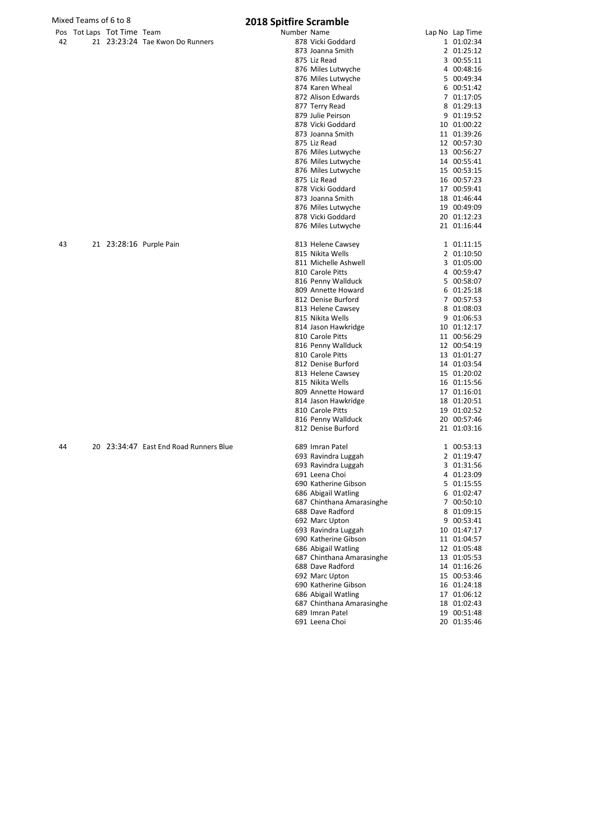|    | Mixed Teams of 6 to 8      |                                        | <b>2018 Spitfire Scramble</b> |                                               |                            |
|----|----------------------------|----------------------------------------|-------------------------------|-----------------------------------------------|----------------------------|
|    | Pos Tot Laps Tot Time Team |                                        | Number Name                   |                                               | Lap No Lap Time            |
| 42 |                            | 21 23:23:24 Tae Kwon Do Runners        |                               | 878 Vicki Goddard                             | 1 01:02:34                 |
|    |                            |                                        |                               | 873 Joanna Smith                              | 2 01:25:12                 |
|    |                            |                                        |                               | 875 Liz Read                                  | 3 00:55:11                 |
|    |                            |                                        |                               | 876 Miles Lutwyche                            | 4 00:48:16                 |
|    |                            |                                        |                               | 876 Miles Lutwyche                            | 5 00:49:34                 |
|    |                            |                                        |                               | 874 Karen Wheal                               | 6 00:51:42                 |
|    |                            |                                        |                               | 872 Alison Edwards                            | 7 01:17:05                 |
|    |                            |                                        |                               | 877 Terry Read<br>879 Julie Peirson           | 8 01:29:13                 |
|    |                            |                                        |                               | 878 Vicki Goddard                             | 9 01:19:52<br>10 01:00:22  |
|    |                            |                                        |                               | 873 Joanna Smith                              | 11 01:39:26                |
|    |                            |                                        |                               | 875 Liz Read                                  | 12 00:57:30                |
|    |                            |                                        |                               | 876 Miles Lutwyche                            | 13 00:56:27                |
|    |                            |                                        |                               | 876 Miles Lutwyche                            | 14 00:55:41                |
|    |                            |                                        |                               | 876 Miles Lutwyche                            | 15 00:53:15                |
|    |                            |                                        |                               | 875 Liz Read                                  | 16 00:57:23                |
|    |                            |                                        |                               | 878 Vicki Goddard                             | 17 00:59:41                |
|    |                            |                                        |                               | 873 Joanna Smith                              | 18 01:46:44                |
|    |                            |                                        |                               | 876 Miles Lutwyche                            | 19 00:49:09                |
|    |                            |                                        |                               | 878 Vicki Goddard                             | 20 01:12:23                |
|    |                            |                                        |                               | 876 Miles Lutwyche                            | 21 01:16:44                |
| 43 |                            | 21 23:28:16 Purple Pain                |                               | 813 Helene Cawsey                             | 1 01:11:15                 |
|    |                            |                                        |                               | 815 Nikita Wells                              | 2 01:10:50                 |
|    |                            |                                        |                               | 811 Michelle Ashwell                          | 3 01:05:00                 |
|    |                            |                                        |                               | 810 Carole Pitts                              | 4 00:59:47                 |
|    |                            |                                        |                               | 816 Penny Wallduck                            | 5 00:58:07                 |
|    |                            |                                        |                               | 809 Annette Howard                            | 6 01:25:18                 |
|    |                            |                                        |                               | 812 Denise Burford                            | 7 00:57:53                 |
|    |                            |                                        |                               | 813 Helene Cawsey                             | 8 01:08:03                 |
|    |                            |                                        |                               | 815 Nikita Wells                              | 9 01:06:53                 |
|    |                            |                                        |                               | 814 Jason Hawkridge                           | 10 01:12:17                |
|    |                            |                                        |                               | 810 Carole Pitts                              | 11 00:56:29                |
|    |                            |                                        |                               | 816 Penny Wallduck<br>810 Carole Pitts        | 12 00:54:19<br>13 01:01:27 |
|    |                            |                                        |                               | 812 Denise Burford                            | 14 01:03:54                |
|    |                            |                                        |                               | 813 Helene Cawsey                             | 15 01:20:02                |
|    |                            |                                        |                               | 815 Nikita Wells                              | 16 01:15:56                |
|    |                            |                                        |                               | 809 Annette Howard                            | 17 01:16:01                |
|    |                            |                                        |                               | 814 Jason Hawkridge                           | 18 01:20:51                |
|    |                            |                                        |                               | 810 Carole Pitts                              | 19 01:02:52                |
|    |                            |                                        |                               | 816 Penny Wallduck                            | 20 00:57:46                |
|    |                            |                                        |                               | 812 Denise Burford                            | 21 01:03:16                |
| 44 |                            | 20 23:34:47 East End Road Runners Blue |                               | 689 Imran Patel                               | 1 00:53:13                 |
|    |                            |                                        |                               | 693 Ravindra Luggah                           | 2 01:19:47                 |
|    |                            |                                        |                               | 693 Ravindra Luggah                           | 3 01:31:56                 |
|    |                            |                                        |                               | 691 Leena Choi                                | 4 01:23:09                 |
|    |                            |                                        |                               | 690 Katherine Gibson                          | 5 01:15:55                 |
|    |                            |                                        |                               | 686 Abigail Watling                           | 6 01:02:47                 |
|    |                            |                                        |                               | 687 Chinthana Amarasinghe                     | 7 00:50:10                 |
|    |                            |                                        |                               | 688 Dave Radford                              | 8 01:09:15                 |
|    |                            |                                        |                               | 692 Marc Upton                                | 9 00:53:41                 |
|    |                            |                                        |                               | 693 Ravindra Luggah                           | 10 01:47:17                |
|    |                            |                                        |                               | 690 Katherine Gibson                          | 11 01:04:57                |
|    |                            |                                        |                               | 686 Abigail Watling                           | 12 01:05:48<br>13 01:05:53 |
|    |                            |                                        |                               | 687 Chinthana Amarasinghe<br>688 Dave Radford | 14 01:16:26                |
|    |                            |                                        |                               | 692 Marc Upton                                | 15 00:53:46                |
|    |                            |                                        |                               | 690 Katherine Gibson                          | 16 01:24:18                |
|    |                            |                                        |                               | 686 Abigail Watling                           | 17 01:06:12                |
|    |                            |                                        |                               | 687 Chinthana Amarasinghe                     | 18 01:02:43                |
|    |                            |                                        |                               | 689 Imran Patel                               | 19 00:51:48                |
|    |                            |                                        |                               |                                               |                            |

689 Imran Patel 19 00:51:48<br>691 Leena Choi 19 00:51:48

691 Leena Choi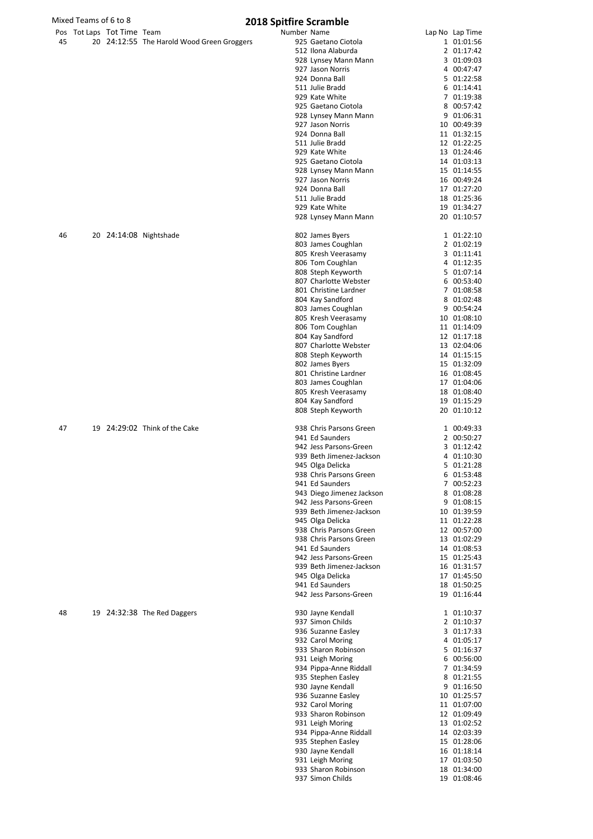|    |                            |                                            | 2010 Spitting Scrampic |                           |                 |
|----|----------------------------|--------------------------------------------|------------------------|---------------------------|-----------------|
|    | Pos Tot Laps Tot Time Team |                                            | Number Name            |                           | Lap No Lap Time |
| 45 |                            | 20 24:12:55 The Harold Wood Green Groggers |                        | 925 Gaetano Ciotola       | 1 01:01:56      |
|    |                            |                                            |                        | 512 Ilona Alaburda        | 2 01:17:42      |
|    |                            |                                            |                        | 928 Lynsey Mann Mann      | 3 01:09:03      |
|    |                            |                                            |                        | 927 Jason Norris          | 4 00:47:47      |
|    |                            |                                            |                        |                           |                 |
|    |                            |                                            |                        | 924 Donna Ball            | 5 01:22:58      |
|    |                            |                                            |                        | 511 Julie Bradd           | 6 01:14:41      |
|    |                            |                                            |                        | 929 Kate White            | 7 01:19:38      |
|    |                            |                                            |                        | 925 Gaetano Ciotola       | 8 00:57:42      |
|    |                            |                                            |                        |                           |                 |
|    |                            |                                            |                        | 928 Lynsey Mann Mann      | 9 01:06:31      |
|    |                            |                                            |                        | 927 Jason Norris          | 10 00:49:39     |
|    |                            |                                            |                        | 924 Donna Ball            | 11 01:32:15     |
|    |                            |                                            |                        | 511 Julie Bradd           | 12 01:22:25     |
|    |                            |                                            |                        |                           |                 |
|    |                            |                                            |                        | 929 Kate White            | 13 01:24:46     |
|    |                            |                                            |                        | 925 Gaetano Ciotola       | 14 01:03:13     |
|    |                            |                                            |                        | 928 Lynsey Mann Mann      | 15 01:14:55     |
|    |                            |                                            |                        | 927 Jason Norris          | 16 00:49:24     |
|    |                            |                                            |                        |                           |                 |
|    |                            |                                            |                        | 924 Donna Ball            | 17 01:27:20     |
|    |                            |                                            |                        | 511 Julie Bradd           | 18 01:25:36     |
|    |                            |                                            |                        | 929 Kate White            | 19 01:34:27     |
|    |                            |                                            |                        |                           |                 |
|    |                            |                                            |                        | 928 Lynsey Mann Mann      | 20 01:10:57     |
|    |                            |                                            |                        |                           |                 |
| 46 |                            | 20 24:14:08 Nightshade                     |                        | 802 James Byers           | 1 01:22:10      |
|    |                            |                                            |                        | 803 James Coughlan        | 2 01:02:19      |
|    |                            |                                            |                        | 805 Kresh Veerasamy       | 3 01:11:41      |
|    |                            |                                            |                        |                           |                 |
|    |                            |                                            |                        | 806 Tom Coughlan          | 4 01:12:35      |
|    |                            |                                            |                        | 808 Steph Keyworth        | 5 01:07:14      |
|    |                            |                                            |                        | 807 Charlotte Webster     | 6 00:53:40      |
|    |                            |                                            |                        | 801 Christine Lardner     | 7 01:08:58      |
|    |                            |                                            |                        |                           |                 |
|    |                            |                                            |                        | 804 Kay Sandford          | 8 01:02:48      |
|    |                            |                                            |                        | 803 James Coughlan        | 9 00:54:24      |
|    |                            |                                            |                        | 805 Kresh Veerasamy       | 10 01:08:10     |
|    |                            |                                            |                        |                           |                 |
|    |                            |                                            |                        | 806 Tom Coughlan          | 11 01:14:09     |
|    |                            |                                            |                        | 804 Kay Sandford          | 12 01:17:18     |
|    |                            |                                            |                        | 807 Charlotte Webster     | 13 02:04:06     |
|    |                            |                                            |                        |                           |                 |
|    |                            |                                            |                        | 808 Steph Keyworth        | 14 01:15:15     |
|    |                            |                                            |                        | 802 James Byers           | 15 01:32:09     |
|    |                            |                                            |                        | 801 Christine Lardner     | 16 01:08:45     |
|    |                            |                                            |                        |                           |                 |
|    |                            |                                            |                        | 803 James Coughlan        | 17 01:04:06     |
|    |                            |                                            |                        | 805 Kresh Veerasamy       | 18 01:08:40     |
|    |                            |                                            |                        | 804 Kay Sandford          | 19 01:15:29     |
|    |                            |                                            |                        | 808 Steph Keyworth        | 20 01:10:12     |
|    |                            |                                            |                        |                           |                 |
| 47 |                            | 19 24:29:02 Think of the Cake              |                        | 938 Chris Parsons Green   | 1 00:49:33      |
|    |                            |                                            |                        |                           |                 |
|    |                            |                                            |                        | 941 Ed Saunders           | 2 00:50:27      |
|    |                            |                                            |                        | 942 Jess Parsons-Green    | 3 01:12:42      |
|    |                            |                                            |                        | 939 Beth Jimenez-Jackson  | 4 01:10:30      |
|    |                            |                                            |                        |                           |                 |
|    |                            |                                            |                        | 945 Olga Delicka          | 5 01:21:28      |
|    |                            |                                            |                        | 938 Chris Parsons Green   | 6 01:53:48      |
|    |                            |                                            |                        | 941 Ed Saunders           | 7 00:52:23      |
|    |                            |                                            |                        | 943 Diego Jimenez Jackson | 8 01:08:28      |
|    |                            |                                            |                        |                           |                 |
|    |                            |                                            |                        | 942 Jess Parsons-Green    | 9 01:08:15      |
|    |                            |                                            |                        | 939 Beth Jimenez-Jackson  | 10 01:39:59     |
|    |                            |                                            |                        | 945 Olga Delicka          | 11 01:22:28     |
|    |                            |                                            |                        |                           |                 |
|    |                            |                                            |                        | 938 Chris Parsons Green   | 12 00:57:00     |
|    |                            |                                            |                        | 938 Chris Parsons Green   | 13 01:02:29     |
|    |                            |                                            |                        | 941 Ed Saunders           | 14 01:08:53     |
|    |                            |                                            |                        | 942 Jess Parsons-Green    |                 |
|    |                            |                                            |                        |                           | 15 01:25:43     |
|    |                            |                                            |                        | 939 Beth Jimenez-Jackson  | 16 01:31:57     |
|    |                            |                                            |                        | 945 Olga Delicka          | 17 01:45:50     |
|    |                            |                                            |                        | 941 Ed Saunders           | 18 01:50:25     |
|    |                            |                                            |                        | 942 Jess Parsons-Green    | 19 01:16:44     |
|    |                            |                                            |                        |                           |                 |
|    |                            |                                            |                        |                           |                 |
| 48 |                            | 19 24:32:38 The Red Daggers                |                        | 930 Jayne Kendall         | 1 01:10:37      |
|    |                            |                                            |                        | 937 Simon Childs          | 2 01:10:37      |
|    |                            |                                            |                        | 936 Suzanne Easley        | 3 01:17:33      |
|    |                            |                                            |                        | 932 Carol Moring          | 4 01:05:17      |
|    |                            |                                            |                        |                           |                 |
|    |                            |                                            |                        | 933 Sharon Robinson       | 5 01:16:37      |
|    |                            |                                            |                        | 931 Leigh Moring          | 6 00:56:00      |
|    |                            |                                            |                        | 934 Pippa-Anne Riddall    | 7 01:34:59      |
|    |                            |                                            |                        |                           |                 |
|    |                            |                                            |                        | 935 Stephen Easley        | 8 01:21:55      |
|    |                            |                                            |                        | 930 Jayne Kendall         | 9 01:16:50      |
|    |                            |                                            |                        | 936 Suzanne Easley        | 10 01:25:57     |
|    |                            |                                            |                        |                           |                 |
|    |                            |                                            |                        | 932 Carol Moring          | 11 01:07:00     |
|    |                            |                                            |                        | 933 Sharon Robinson       | 12 01:09:49     |
|    |                            |                                            |                        | 931 Leigh Moring          | 13 01:02:52     |
|    |                            |                                            |                        |                           | 14 02:03:39     |
|    |                            |                                            |                        | 934 Pippa-Anne Riddall    |                 |
|    |                            |                                            |                        | 935 Stephen Easley        | 15 01:28:06     |
|    |                            |                                            |                        | 930 Jayne Kendall         | 16 01:18:14     |
|    |                            |                                            |                        | 931 Leigh Moring          | 17 01:03:50     |
|    |                            |                                            |                        |                           |                 |
|    |                            |                                            |                        | 933 Sharon Robinson       | 18 01:34:00     |

Simon Childs 19 01:08:46